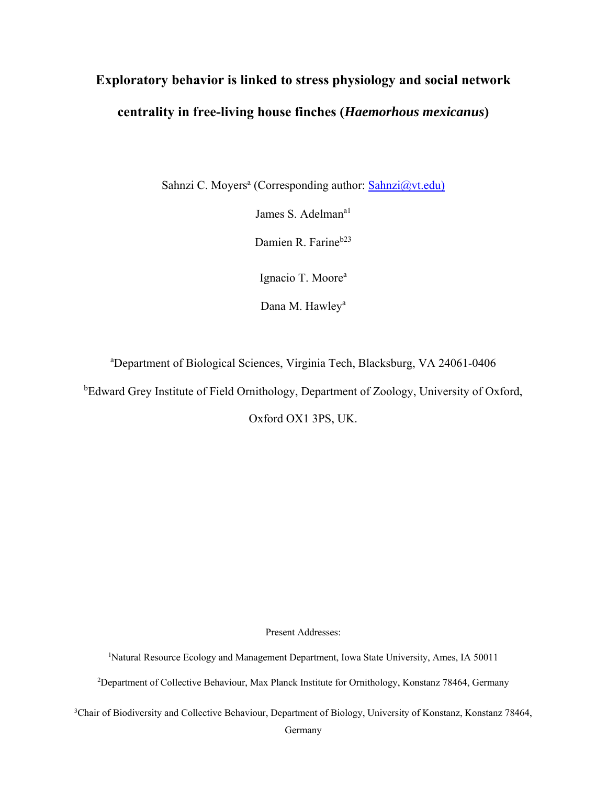# **Exploratory behavior is linked to stress physiology and social network centrality in free-living house finches (***Haemorhous mexicanus***)**

Sahnzi C. Moyers<sup>a</sup> (Corresponding author: **Sahnzi@vt.edu**)

James S. Adelman<sup>a1</sup>

Damien R. Farine<sup>b23</sup>

Ignacio T. Moore<sup>a</sup>

Dana M. Hawley<sup>a</sup>

a Department of Biological Sciences, Virginia Tech, Blacksburg, VA 24061-0406

<sup>b</sup>Edward Grey Institute of Field Ornithology, Department of Zoology, University of Oxford,

Oxford OX1 3PS, UK.

Present Addresses:

1 Natural Resource Ecology and Management Department, Iowa State University, Ames, IA 50011

2 Department of Collective Behaviour, Max Planck Institute for Ornithology, Konstanz 78464, Germany

3 Chair of Biodiversity and Collective Behaviour, Department of Biology, University of Konstanz, Konstanz 78464,

Germany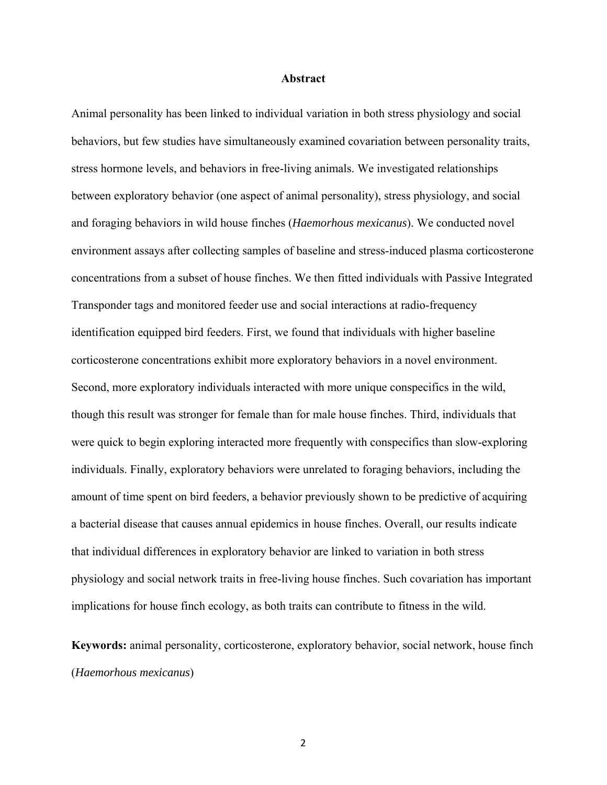#### **Abstract**

Animal personality has been linked to individual variation in both stress physiology and social behaviors, but few studies have simultaneously examined covariation between personality traits, stress hormone levels, and behaviors in free-living animals. We investigated relationships between exploratory behavior (one aspect of animal personality), stress physiology, and social and foraging behaviors in wild house finches (*Haemorhous mexicanus*). We conducted novel environment assays after collecting samples of baseline and stress-induced plasma corticosterone concentrations from a subset of house finches. We then fitted individuals with Passive Integrated Transponder tags and monitored feeder use and social interactions at radio-frequency identification equipped bird feeders. First, we found that individuals with higher baseline corticosterone concentrations exhibit more exploratory behaviors in a novel environment. Second, more exploratory individuals interacted with more unique conspecifics in the wild, though this result was stronger for female than for male house finches. Third, individuals that were quick to begin exploring interacted more frequently with conspecifics than slow-exploring individuals. Finally, exploratory behaviors were unrelated to foraging behaviors, including the amount of time spent on bird feeders, a behavior previously shown to be predictive of acquiring a bacterial disease that causes annual epidemics in house finches. Overall, our results indicate that individual differences in exploratory behavior are linked to variation in both stress physiology and social network traits in free-living house finches. Such covariation has important implications for house finch ecology, as both traits can contribute to fitness in the wild.

**Keywords:** animal personality, corticosterone, exploratory behavior, social network, house finch (*Haemorhous mexicanus*)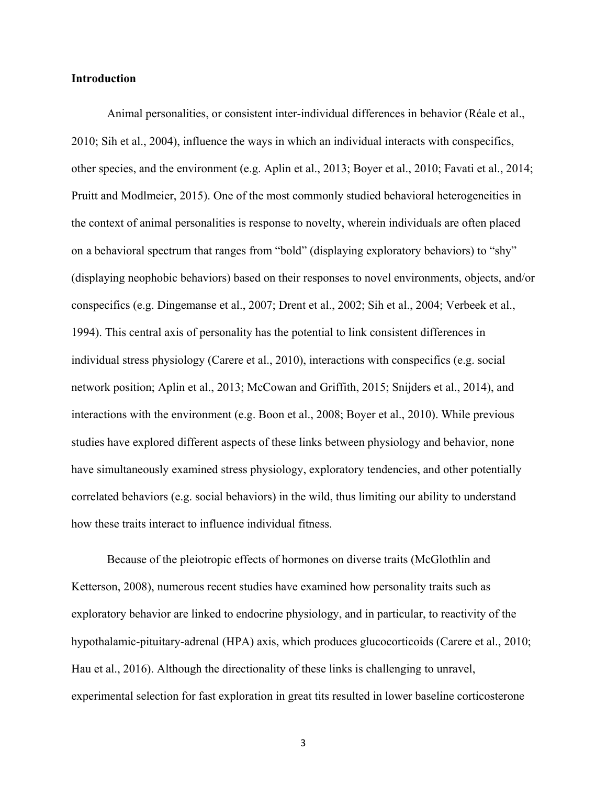# **Introduction**

Animal personalities, or consistent inter-individual differences in behavior (Réale et al., 2010; Sih et al., 2004), influence the ways in which an individual interacts with conspecifics, other species, and the environment (e.g. Aplin et al., 2013; Boyer et al., 2010; Favati et al., 2014; Pruitt and Modlmeier, 2015). One of the most commonly studied behavioral heterogeneities in the context of animal personalities is response to novelty, wherein individuals are often placed on a behavioral spectrum that ranges from "bold" (displaying exploratory behaviors) to "shy" (displaying neophobic behaviors) based on their responses to novel environments, objects, and/or conspecifics (e.g. Dingemanse et al., 2007; Drent et al., 2002; Sih et al., 2004; Verbeek et al., 1994). This central axis of personality has the potential to link consistent differences in individual stress physiology (Carere et al., 2010), interactions with conspecifics (e.g. social network position; Aplin et al., 2013; McCowan and Griffith, 2015; Snijders et al., 2014), and interactions with the environment (e.g. Boon et al., 2008; Boyer et al., 2010). While previous studies have explored different aspects of these links between physiology and behavior, none have simultaneously examined stress physiology, exploratory tendencies, and other potentially correlated behaviors (e.g. social behaviors) in the wild, thus limiting our ability to understand how these traits interact to influence individual fitness.

Because of the pleiotropic effects of hormones on diverse traits (McGlothlin and Ketterson, 2008), numerous recent studies have examined how personality traits such as exploratory behavior are linked to endocrine physiology, and in particular, to reactivity of the hypothalamic-pituitary-adrenal (HPA) axis, which produces glucocorticoids (Carere et al., 2010; Hau et al., 2016). Although the directionality of these links is challenging to unravel, experimental selection for fast exploration in great tits resulted in lower baseline corticosterone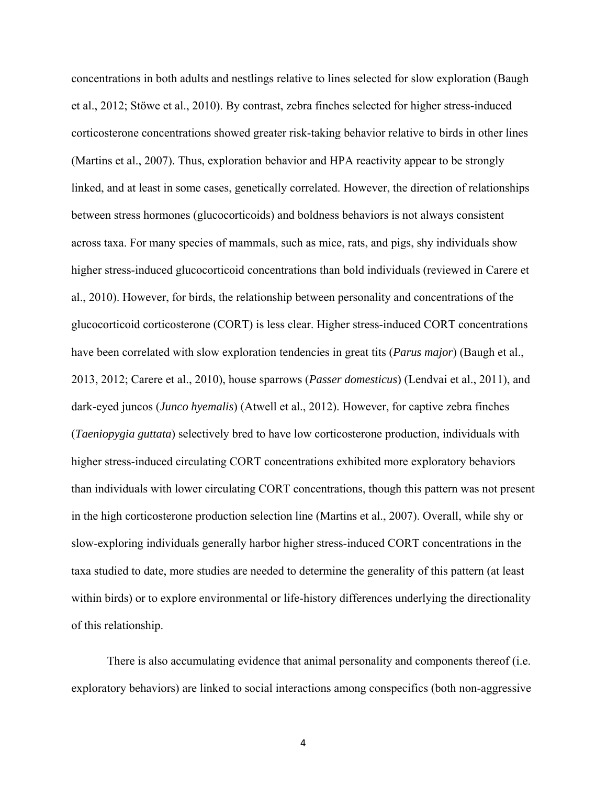concentrations in both adults and nestlings relative to lines selected for slow exploration (Baugh et al., 2012; Stöwe et al., 2010). By contrast, zebra finches selected for higher stress-induced corticosterone concentrations showed greater risk-taking behavior relative to birds in other lines (Martins et al., 2007). Thus, exploration behavior and HPA reactivity appear to be strongly linked, and at least in some cases, genetically correlated. However, the direction of relationships between stress hormones (glucocorticoids) and boldness behaviors is not always consistent across taxa. For many species of mammals, such as mice, rats, and pigs, shy individuals show higher stress-induced glucocorticoid concentrations than bold individuals (reviewed in Carere et al., 2010). However, for birds, the relationship between personality and concentrations of the glucocorticoid corticosterone (CORT) is less clear. Higher stress-induced CORT concentrations have been correlated with slow exploration tendencies in great tits (*Parus major*) (Baugh et al., 2013, 2012; Carere et al., 2010), house sparrows (*Passer domesticus*) (Lendvai et al., 2011), and dark-eyed juncos (*Junco hyemalis*) (Atwell et al., 2012). However, for captive zebra finches (*Taeniopygia guttata*) selectively bred to have low corticosterone production, individuals with higher stress-induced circulating CORT concentrations exhibited more exploratory behaviors than individuals with lower circulating CORT concentrations, though this pattern was not present in the high corticosterone production selection line (Martins et al., 2007). Overall, while shy or slow-exploring individuals generally harbor higher stress-induced CORT concentrations in the taxa studied to date, more studies are needed to determine the generality of this pattern (at least within birds) or to explore environmental or life-history differences underlying the directionality of this relationship.

There is also accumulating evidence that animal personality and components thereof (i.e. exploratory behaviors) are linked to social interactions among conspecifics (both non-aggressive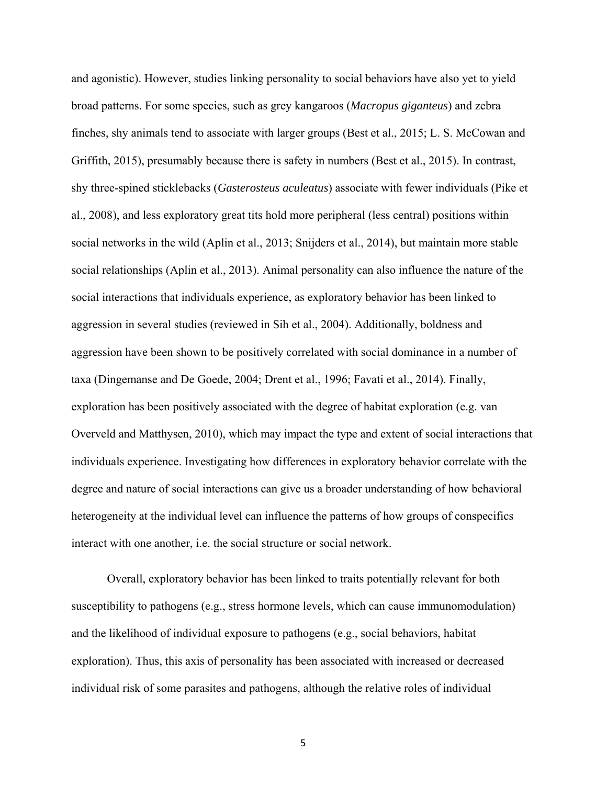and agonistic). However, studies linking personality to social behaviors have also yet to yield broad patterns. For some species, such as grey kangaroos (*Macropus giganteus*) and zebra finches, shy animals tend to associate with larger groups (Best et al., 2015; L. S. McCowan and Griffith, 2015), presumably because there is safety in numbers (Best et al., 2015). In contrast, shy three-spined sticklebacks (*Gasterosteus aculeatus*) associate with fewer individuals (Pike et al., 2008), and less exploratory great tits hold more peripheral (less central) positions within social networks in the wild (Aplin et al., 2013; Snijders et al., 2014), but maintain more stable social relationships (Aplin et al., 2013). Animal personality can also influence the nature of the social interactions that individuals experience, as exploratory behavior has been linked to aggression in several studies (reviewed in Sih et al., 2004). Additionally, boldness and aggression have been shown to be positively correlated with social dominance in a number of taxa (Dingemanse and De Goede, 2004; Drent et al., 1996; Favati et al., 2014). Finally, exploration has been positively associated with the degree of habitat exploration (e.g. van Overveld and Matthysen, 2010), which may impact the type and extent of social interactions that individuals experience. Investigating how differences in exploratory behavior correlate with the degree and nature of social interactions can give us a broader understanding of how behavioral heterogeneity at the individual level can influence the patterns of how groups of conspecifics interact with one another, i.e. the social structure or social network.

Overall, exploratory behavior has been linked to traits potentially relevant for both susceptibility to pathogens (e.g., stress hormone levels, which can cause immunomodulation) and the likelihood of individual exposure to pathogens (e.g., social behaviors, habitat exploration). Thus, this axis of personality has been associated with increased or decreased individual risk of some parasites and pathogens, although the relative roles of individual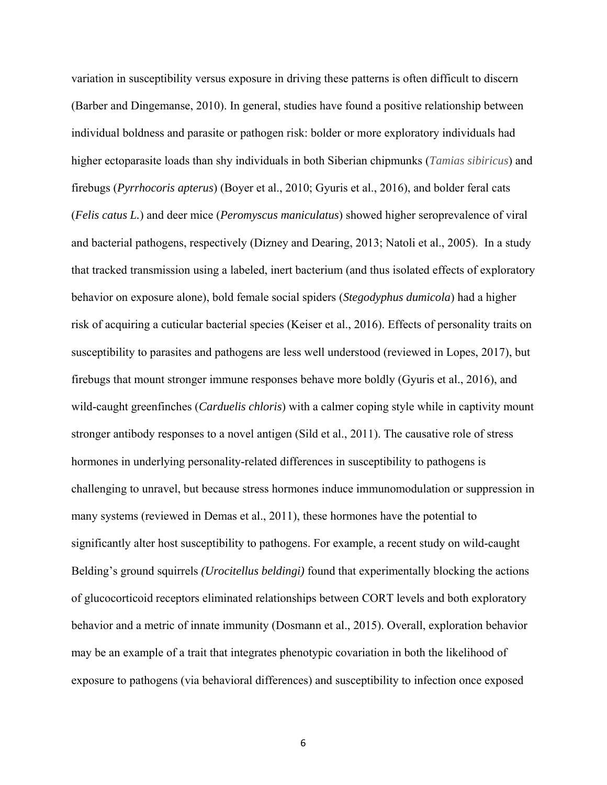variation in susceptibility versus exposure in driving these patterns is often difficult to discern (Barber and Dingemanse, 2010). In general, studies have found a positive relationship between individual boldness and parasite or pathogen risk: bolder or more exploratory individuals had higher ectoparasite loads than shy individuals in both Siberian chipmunks (*Tamias sibiricus*) and firebugs (*Pyrrhocoris apterus*) (Boyer et al., 2010; Gyuris et al., 2016), and bolder feral cats (*Felis catus L.*) and deer mice (*Peromyscus maniculatus*) showed higher seroprevalence of viral and bacterial pathogens, respectively (Dizney and Dearing, 2013; Natoli et al., 2005). In a study that tracked transmission using a labeled, inert bacterium (and thus isolated effects of exploratory behavior on exposure alone), bold female social spiders (*Stegodyphus dumicola*) had a higher risk of acquiring a cuticular bacterial species (Keiser et al., 2016). Effects of personality traits on susceptibility to parasites and pathogens are less well understood (reviewed in Lopes, 2017), but firebugs that mount stronger immune responses behave more boldly (Gyuris et al., 2016), and wild-caught greenfinches (*Carduelis chloris*) with a calmer coping style while in captivity mount stronger antibody responses to a novel antigen (Sild et al., 2011). The causative role of stress hormones in underlying personality-related differences in susceptibility to pathogens is challenging to unravel, but because stress hormones induce immunomodulation or suppression in many systems (reviewed in Demas et al., 2011), these hormones have the potential to significantly alter host susceptibility to pathogens. For example, a recent study on wild-caught Belding's ground squirrels *(Urocitellus beldingi)* found that experimentally blocking the actions of glucocorticoid receptors eliminated relationships between CORT levels and both exploratory behavior and a metric of innate immunity (Dosmann et al., 2015). Overall, exploration behavior may be an example of a trait that integrates phenotypic covariation in both the likelihood of exposure to pathogens (via behavioral differences) and susceptibility to infection once exposed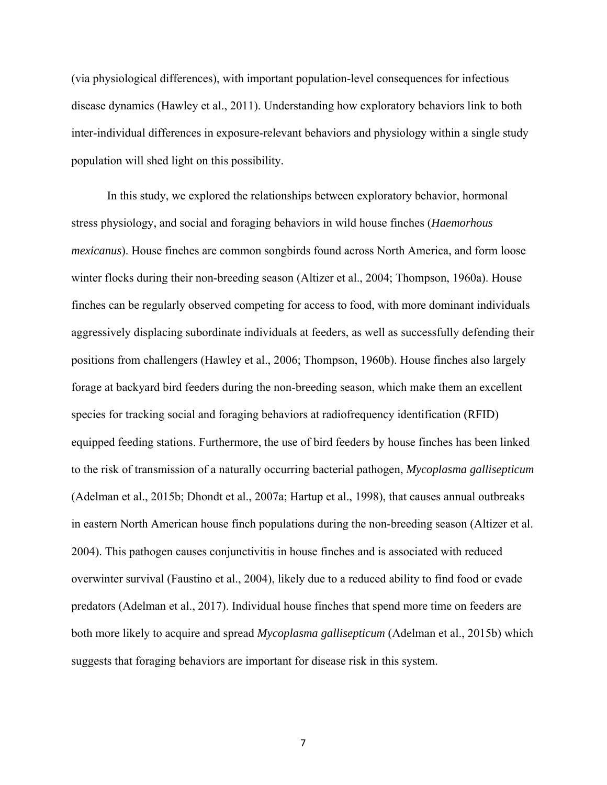(via physiological differences), with important population-level consequences for infectious disease dynamics (Hawley et al., 2011). Understanding how exploratory behaviors link to both inter-individual differences in exposure-relevant behaviors and physiology within a single study population will shed light on this possibility.

In this study, we explored the relationships between exploratory behavior, hormonal stress physiology, and social and foraging behaviors in wild house finches (*Haemorhous mexicanus*). House finches are common songbirds found across North America, and form loose winter flocks during their non-breeding season (Altizer et al., 2004; Thompson, 1960a). House finches can be regularly observed competing for access to food, with more dominant individuals aggressively displacing subordinate individuals at feeders, as well as successfully defending their positions from challengers (Hawley et al., 2006; Thompson, 1960b). House finches also largely forage at backyard bird feeders during the non-breeding season, which make them an excellent species for tracking social and foraging behaviors at radiofrequency identification (RFID) equipped feeding stations. Furthermore, the use of bird feeders by house finches has been linked to the risk of transmission of a naturally occurring bacterial pathogen, *Mycoplasma gallisepticum* (Adelman et al., 2015b; Dhondt et al., 2007a; Hartup et al., 1998), that causes annual outbreaks in eastern North American house finch populations during the non-breeding season (Altizer et al. 2004). This pathogen causes conjunctivitis in house finches and is associated with reduced overwinter survival (Faustino et al., 2004), likely due to a reduced ability to find food or evade predators (Adelman et al., 2017). Individual house finches that spend more time on feeders are both more likely to acquire and spread *Mycoplasma gallisepticum* (Adelman et al., 2015b) which suggests that foraging behaviors are important for disease risk in this system.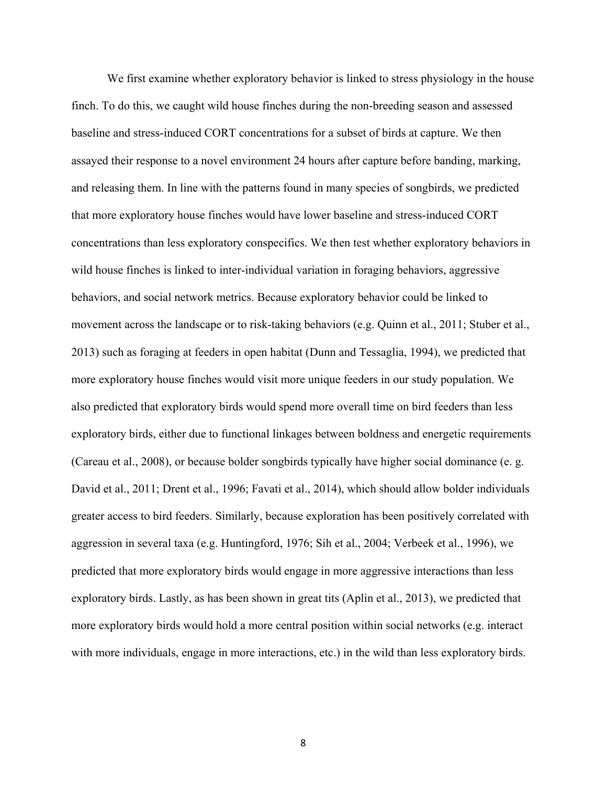We first examine whether exploratory behavior is linked to stress physiology in the house finch. To do this, we caught wild house finches during the non-breeding season and assessed baseline and stress-induced CORT concentrations for a subset of birds at capture. We then assayed their response to a novel environment 24 hours after capture before banding, marking, and releasing them. In line with the patterns found in many species of songbirds, we predicted that more exploratory house finches would have lower baseline and stress-induced CORT concentrations than less exploratory conspecifics. We then test whether exploratory behaviors in wild house finches is linked to inter-individual variation in foraging behaviors, aggressive behaviors, and social network metrics. Because exploratory behavior could be linked to movement across the landscape or to risk-taking behaviors (e.g. Quinn et al., 2011; Stuber et al., 2013) such as foraging at feeders in open habitat (Dunn and Tessaglia, 1994), we predicted that more exploratory house finches would visit more unique feeders in our study population. We also predicted that exploratory birds would spend more overall time on bird feeders than less exploratory birds, either due to functional linkages between boldness and energetic requirements (Careau et al., 2008), or because bolder songbirds typically have higher social dominance (e. g. David et al., 2011; Drent et al., 1996; Favati et al., 2014), which should allow bolder individuals greater access to bird feeders. Similarly, because exploration has been positively correlated with aggression in several taxa (e.g. Huntingford, 1976; Sih et al., 2004; Verbeek et al., 1996), we predicted that more exploratory birds would engage in more aggressive interactions than less exploratory birds. Lastly, as has been shown in great tits (Aplin et al., 2013), we predicted that more exploratory birds would hold a more central position within social networks (e.g. interact with more individuals, engage in more interactions, etc.) in the wild than less exploratory birds.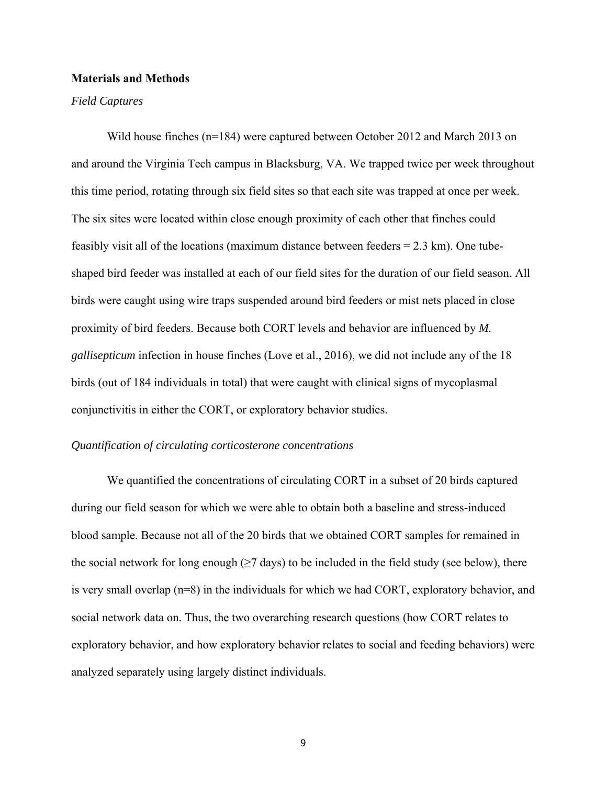# **Materials and Methods**

#### *Field Captures*

Wild house finches (n=184) were captured between October 2012 and March 2013 on and around the Virginia Tech campus in Blacksburg, VA. We trapped twice per week throughout this time period, rotating through six field sites so that each site was trapped at once per week. The six sites were located within close enough proximity of each other that finches could feasibly visit all of the locations (maximum distance between feeders  $= 2.3$  km). One tubeshaped bird feeder was installed at each of our field sites for the duration of our field season. All birds were caught using wire traps suspended around bird feeders or mist nets placed in close proximity of bird feeders. Because both CORT levels and behavior are influenced by *M. gallisepticum* infection in house finches (Love et al., 2016), we did not include any of the 18 birds (out of 184 individuals in total) that were caught with clinical signs of mycoplasmal conjunctivitis in either the CORT, or exploratory behavior studies.

#### *Quantification of circulating corticosterone concentrations*

We quantified the concentrations of circulating CORT in a subset of 20 birds captured during our field season for which we were able to obtain both a baseline and stress-induced blood sample. Because not all of the 20 birds that we obtained CORT samples for remained in the social network for long enough  $(\geq 7$  days) to be included in the field study (see below), there is very small overlap (n=8) in the individuals for which we had CORT, exploratory behavior, and social network data on. Thus, the two overarching research questions (how CORT relates to exploratory behavior, and how exploratory behavior relates to social and feeding behaviors) were analyzed separately using largely distinct individuals.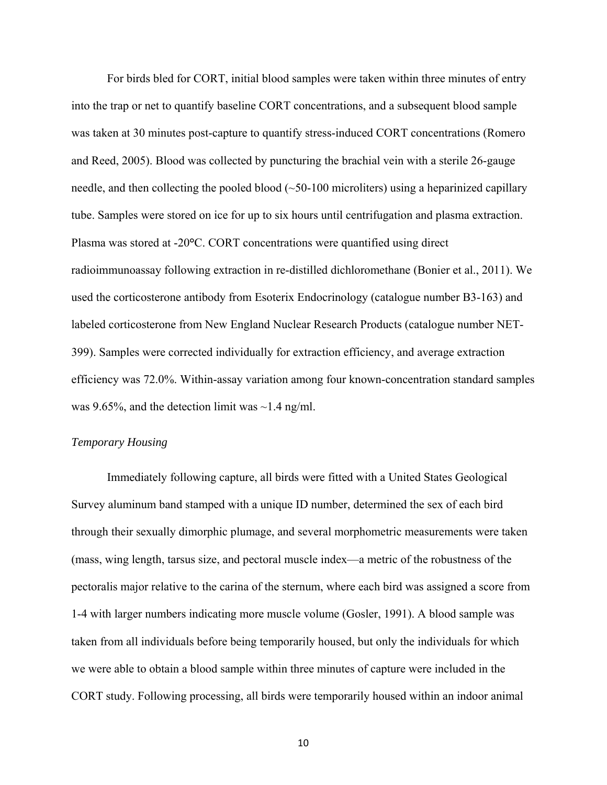For birds bled for CORT, initial blood samples were taken within three minutes of entry into the trap or net to quantify baseline CORT concentrations, and a subsequent blood sample was taken at 30 minutes post-capture to quantify stress-induced CORT concentrations (Romero and Reed, 2005). Blood was collected by puncturing the brachial vein with a sterile 26-gauge needle, and then collecting the pooled blood  $(\sim 50-100$  microliters) using a heparinized capillary tube. Samples were stored on ice for up to six hours until centrifugation and plasma extraction. Plasma was stored at -20**°**C. CORT concentrations were quantified using direct radioimmunoassay following extraction in re-distilled dichloromethane (Bonier et al., 2011). We used the corticosterone antibody from Esoterix Endocrinology (catalogue number B3-163) and labeled corticosterone from New England Nuclear Research Products (catalogue number NET-399). Samples were corrected individually for extraction efficiency, and average extraction efficiency was 72.0%. Within-assay variation among four known-concentration standard samples was 9.65%, and the detection limit was  $\sim$ 1.4 ng/ml.

# *Temporary Housing*

Immediately following capture, all birds were fitted with a United States Geological Survey aluminum band stamped with a unique ID number, determined the sex of each bird through their sexually dimorphic plumage, and several morphometric measurements were taken (mass, wing length, tarsus size, and pectoral muscle index—a metric of the robustness of the pectoralis major relative to the carina of the sternum, where each bird was assigned a score from 1-4 with larger numbers indicating more muscle volume (Gosler, 1991). A blood sample was taken from all individuals before being temporarily housed, but only the individuals for which we were able to obtain a blood sample within three minutes of capture were included in the CORT study. Following processing, all birds were temporarily housed within an indoor animal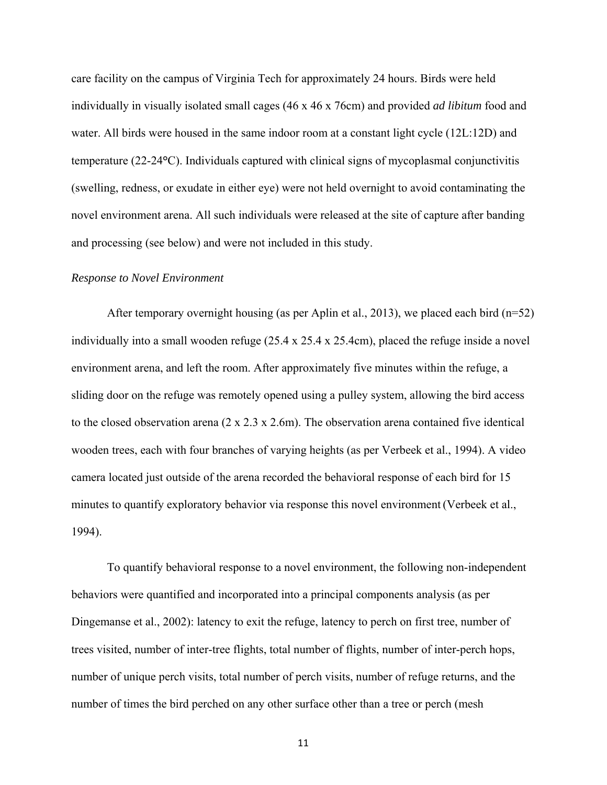care facility on the campus of Virginia Tech for approximately 24 hours. Birds were held individually in visually isolated small cages (46 x 46 x 76cm) and provided *ad libitum* food and water. All birds were housed in the same indoor room at a constant light cycle (12L:12D) and temperature (22-24**°**C). Individuals captured with clinical signs of mycoplasmal conjunctivitis (swelling, redness, or exudate in either eye) were not held overnight to avoid contaminating the novel environment arena. All such individuals were released at the site of capture after banding and processing (see below) and were not included in this study.

#### *Response to Novel Environment*

After temporary overnight housing (as per Aplin et al., 2013), we placed each bird ( $n=52$ ) individually into a small wooden refuge (25.4 x 25.4 x 25.4cm), placed the refuge inside a novel environment arena, and left the room. After approximately five minutes within the refuge, a sliding door on the refuge was remotely opened using a pulley system, allowing the bird access to the closed observation arena (2 x 2.3 x 2.6m). The observation arena contained five identical wooden trees, each with four branches of varying heights (as per Verbeek et al., 1994). A video camera located just outside of the arena recorded the behavioral response of each bird for 15 minutes to quantify exploratory behavior via response this novel environment (Verbeek et al., 1994).

To quantify behavioral response to a novel environment, the following non-independent behaviors were quantified and incorporated into a principal components analysis (as per Dingemanse et al., 2002): latency to exit the refuge, latency to perch on first tree, number of trees visited, number of inter-tree flights, total number of flights, number of inter-perch hops, number of unique perch visits, total number of perch visits, number of refuge returns, and the number of times the bird perched on any other surface other than a tree or perch (mesh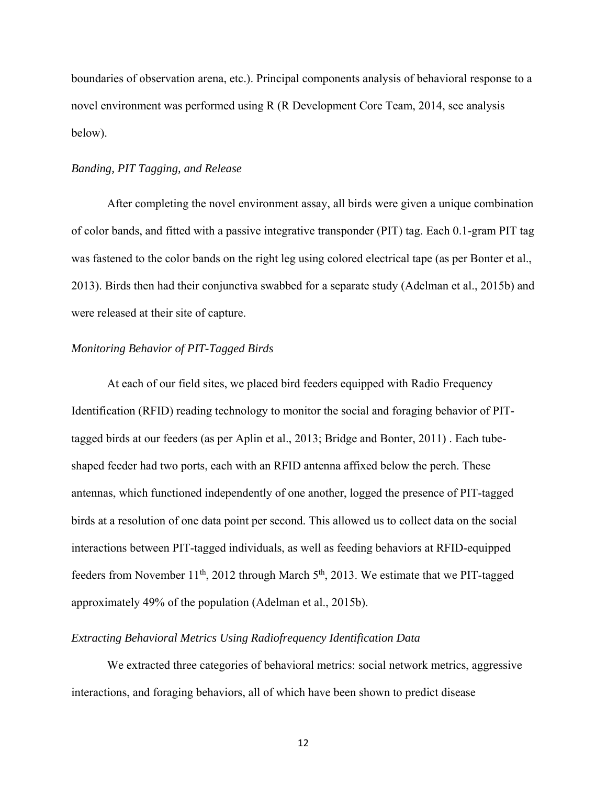boundaries of observation arena, etc.). Principal components analysis of behavioral response to a novel environment was performed using R (R Development Core Team, 2014, see analysis below).

# *Banding, PIT Tagging, and Release*

 After completing the novel environment assay, all birds were given a unique combination of color bands, and fitted with a passive integrative transponder (PIT) tag. Each 0.1-gram PIT tag was fastened to the color bands on the right leg using colored electrical tape (as per Bonter et al., 2013). Birds then had their conjunctiva swabbed for a separate study (Adelman et al., 2015b) and were released at their site of capture.

# *Monitoring Behavior of PIT-Tagged Birds*

 At each of our field sites, we placed bird feeders equipped with Radio Frequency Identification (RFID) reading technology to monitor the social and foraging behavior of PITtagged birds at our feeders (as per Aplin et al., 2013; Bridge and Bonter, 2011) . Each tubeshaped feeder had two ports, each with an RFID antenna affixed below the perch. These antennas, which functioned independently of one another, logged the presence of PIT-tagged birds at a resolution of one data point per second. This allowed us to collect data on the social interactions between PIT-tagged individuals, as well as feeding behaviors at RFID-equipped feeders from November  $11^{th}$ , 2012 through March  $5^{th}$ , 2013. We estimate that we PIT-tagged approximately 49% of the population (Adelman et al., 2015b).

# *Extracting Behavioral Metrics Using Radiofrequency Identification Data*

We extracted three categories of behavioral metrics: social network metrics, aggressive interactions, and foraging behaviors, all of which have been shown to predict disease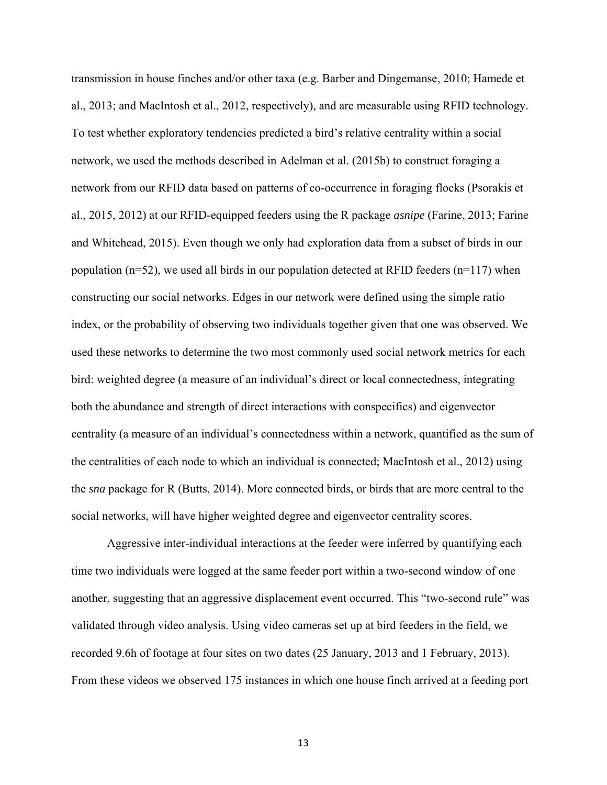transmission in house finches and/or other taxa (e.g. Barber and Dingemanse, 2010; Hamede et al., 2013; and MacIntosh et al., 2012, respectively), and are measurable using RFID technology. To test whether exploratory tendencies predicted a bird's relative centrality within a social network, we used the methods described in Adelman et al. (2015b) to construct foraging a network from our RFID data based on patterns of co-occurrence in foraging flocks (Psorakis et al., 2015, 2012) at our RFID-equipped feeders using the R package *asnipe* (Farine, 2013; Farine and Whitehead, 2015). Even though we only had exploration data from a subset of birds in our population ( $n=52$ ), we used all birds in our population detected at RFID feeders ( $n=117$ ) when constructing our social networks. Edges in our network were defined using the simple ratio index, or the probability of observing two individuals together given that one was observed. We used these networks to determine the two most commonly used social network metrics for each bird: weighted degree (a measure of an individual's direct or local connectedness, integrating both the abundance and strength of direct interactions with conspecifics) and eigenvector centrality (a measure of an individual's connectedness within a network, quantified as the sum of the centralities of each node to which an individual is connected; MacIntosh et al., 2012) using the *sna* package for R (Butts, 2014). More connected birds, or birds that are more central to the social networks, will have higher weighted degree and eigenvector centrality scores.

Aggressive inter-individual interactions at the feeder were inferred by quantifying each time two individuals were logged at the same feeder port within a two-second window of one another, suggesting that an aggressive displacement event occurred. This "two-second rule" was validated through video analysis. Using video cameras set up at bird feeders in the field, we recorded 9.6h of footage at four sites on two dates (25 January, 2013 and 1 February, 2013). From these videos we observed 175 instances in which one house finch arrived at a feeding port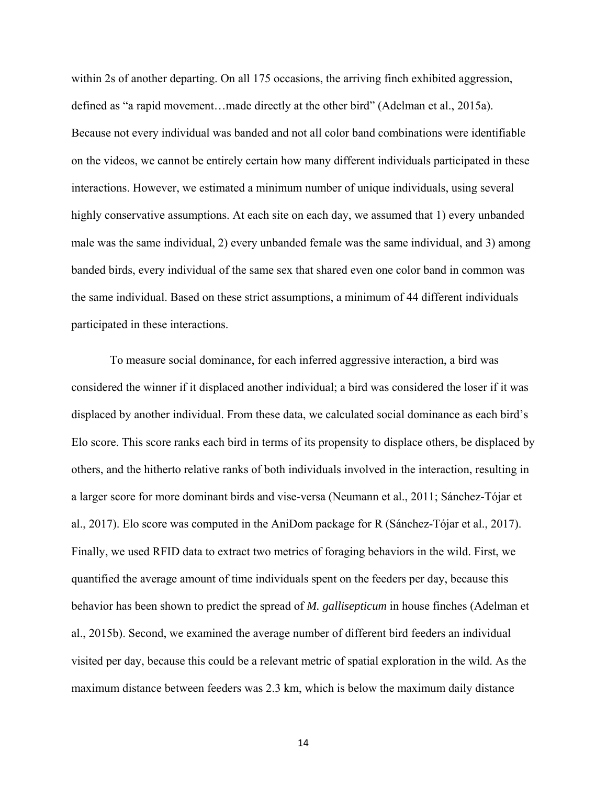within 2s of another departing. On all 175 occasions, the arriving finch exhibited aggression, defined as "a rapid movement…made directly at the other bird" (Adelman et al., 2015a). Because not every individual was banded and not all color band combinations were identifiable on the videos, we cannot be entirely certain how many different individuals participated in these interactions. However, we estimated a minimum number of unique individuals, using several highly conservative assumptions. At each site on each day, we assumed that 1) every unbanded male was the same individual, 2) every unbanded female was the same individual, and 3) among banded birds, every individual of the same sex that shared even one color band in common was the same individual. Based on these strict assumptions, a minimum of 44 different individuals participated in these interactions.

 To measure social dominance, for each inferred aggressive interaction, a bird was considered the winner if it displaced another individual; a bird was considered the loser if it was displaced by another individual. From these data, we calculated social dominance as each bird's Elo score. This score ranks each bird in terms of its propensity to displace others, be displaced by others, and the hitherto relative ranks of both individuals involved in the interaction, resulting in a larger score for more dominant birds and vise-versa (Neumann et al., 2011; Sánchez-Tójar et al., 2017). Elo score was computed in the AniDom package for R (Sánchez-Tójar et al., 2017). Finally, we used RFID data to extract two metrics of foraging behaviors in the wild. First, we quantified the average amount of time individuals spent on the feeders per day, because this behavior has been shown to predict the spread of *M. gallisepticum* in house finches (Adelman et al., 2015b). Second, we examined the average number of different bird feeders an individual visited per day, because this could be a relevant metric of spatial exploration in the wild. As the maximum distance between feeders was 2.3 km, which is below the maximum daily distance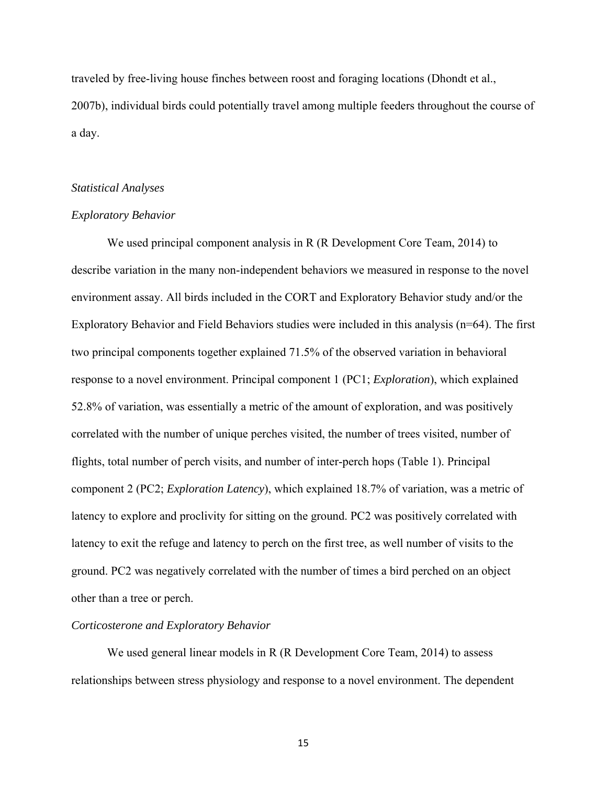traveled by free-living house finches between roost and foraging locations (Dhondt et al., 2007b), individual birds could potentially travel among multiple feeders throughout the course of a day.

#### *Statistical Analyses*

# *Exploratory Behavior*

We used principal component analysis in R (R Development Core Team, 2014) to describe variation in the many non-independent behaviors we measured in response to the novel environment assay. All birds included in the CORT and Exploratory Behavior study and/or the Exploratory Behavior and Field Behaviors studies were included in this analysis (n=64). The first two principal components together explained 71.5% of the observed variation in behavioral response to a novel environment. Principal component 1 (PC1; *Exploration*), which explained 52.8% of variation, was essentially a metric of the amount of exploration, and was positively correlated with the number of unique perches visited, the number of trees visited, number of flights, total number of perch visits, and number of inter-perch hops (Table 1). Principal component 2 (PC2; *Exploration Latency*), which explained 18.7% of variation, was a metric of latency to explore and proclivity for sitting on the ground. PC2 was positively correlated with latency to exit the refuge and latency to perch on the first tree, as well number of visits to the ground. PC2 was negatively correlated with the number of times a bird perched on an object other than a tree or perch.

#### *Corticosterone and Exploratory Behavior*

We used general linear models in R (R Development Core Team, 2014) to assess relationships between stress physiology and response to a novel environment. The dependent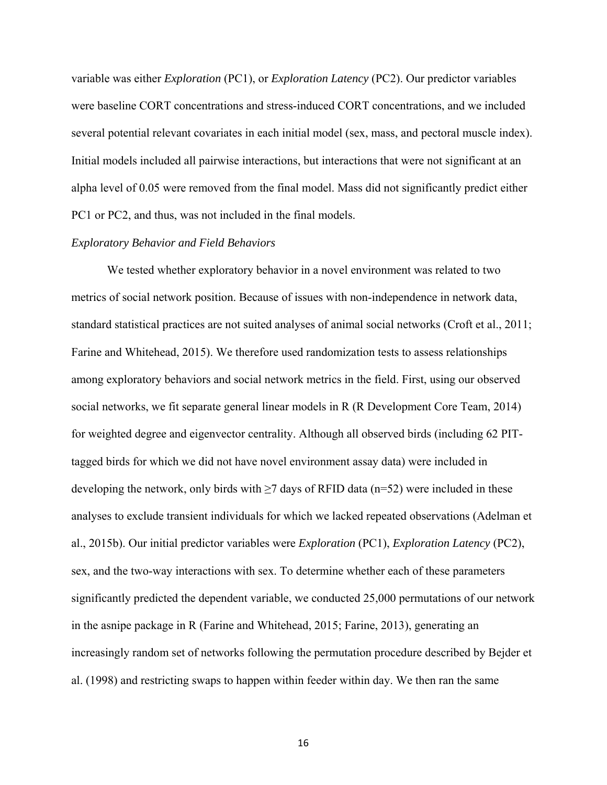variable was either *Exploration* (PC1), or *Exploration Latency* (PC2). Our predictor variables were baseline CORT concentrations and stress-induced CORT concentrations, and we included several potential relevant covariates in each initial model (sex, mass, and pectoral muscle index). Initial models included all pairwise interactions, but interactions that were not significant at an alpha level of 0.05 were removed from the final model. Mass did not significantly predict either PC1 or PC2, and thus, was not included in the final models.

# *Exploratory Behavior and Field Behaviors*

We tested whether exploratory behavior in a novel environment was related to two metrics of social network position. Because of issues with non-independence in network data, standard statistical practices are not suited analyses of animal social networks (Croft et al., 2011; Farine and Whitehead, 2015). We therefore used randomization tests to assess relationships among exploratory behaviors and social network metrics in the field. First, using our observed social networks, we fit separate general linear models in R (R Development Core Team, 2014) for weighted degree and eigenvector centrality. Although all observed birds (including 62 PITtagged birds for which we did not have novel environment assay data) were included in developing the network, only birds with  $\geq$  days of RFID data (n=52) were included in these analyses to exclude transient individuals for which we lacked repeated observations (Adelman et al., 2015b). Our initial predictor variables were *Exploration* (PC1), *Exploration Latency* (PC2), sex, and the two-way interactions with sex. To determine whether each of these parameters significantly predicted the dependent variable, we conducted 25,000 permutations of our network in the asnipe package in R (Farine and Whitehead, 2015; Farine, 2013), generating an increasingly random set of networks following the permutation procedure described by Bejder et al. (1998) and restricting swaps to happen within feeder within day. We then ran the same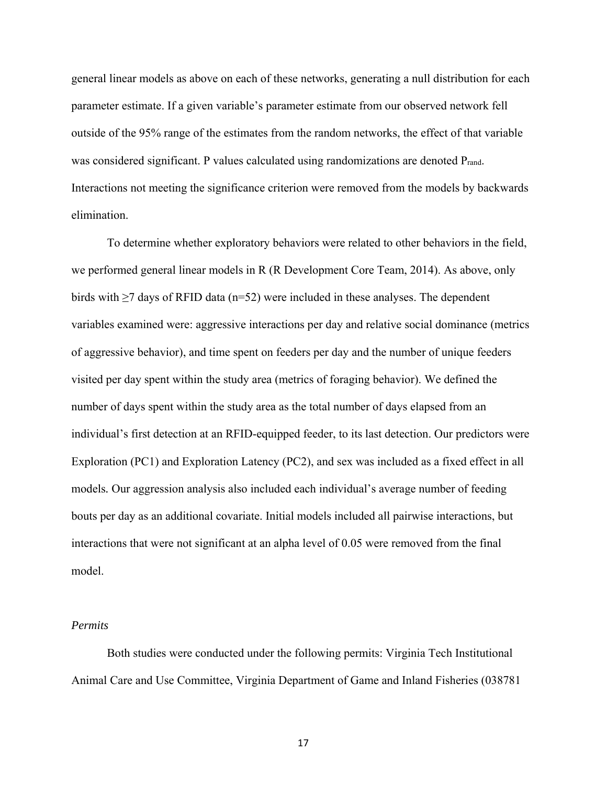general linear models as above on each of these networks, generating a null distribution for each parameter estimate. If a given variable's parameter estimate from our observed network fell outside of the 95% range of the estimates from the random networks, the effect of that variable was considered significant. P values calculated using randomizations are denoted P<sub>rand</sub>. Interactions not meeting the significance criterion were removed from the models by backwards elimination.

To determine whether exploratory behaviors were related to other behaviors in the field, we performed general linear models in R (R Development Core Team, 2014). As above, only birds with  $\geq$ 7 days of RFID data (n=52) were included in these analyses. The dependent variables examined were: aggressive interactions per day and relative social dominance (metrics of aggressive behavior), and time spent on feeders per day and the number of unique feeders visited per day spent within the study area (metrics of foraging behavior). We defined the number of days spent within the study area as the total number of days elapsed from an individual's first detection at an RFID-equipped feeder, to its last detection. Our predictors were Exploration (PC1) and Exploration Latency (PC2), and sex was included as a fixed effect in all models*.* Our aggression analysis also included each individual's average number of feeding bouts per day as an additional covariate. Initial models included all pairwise interactions, but interactions that were not significant at an alpha level of 0.05 were removed from the final model.

#### *Permits*

Both studies were conducted under the following permits: Virginia Tech Institutional Animal Care and Use Committee, Virginia Department of Game and Inland Fisheries (038781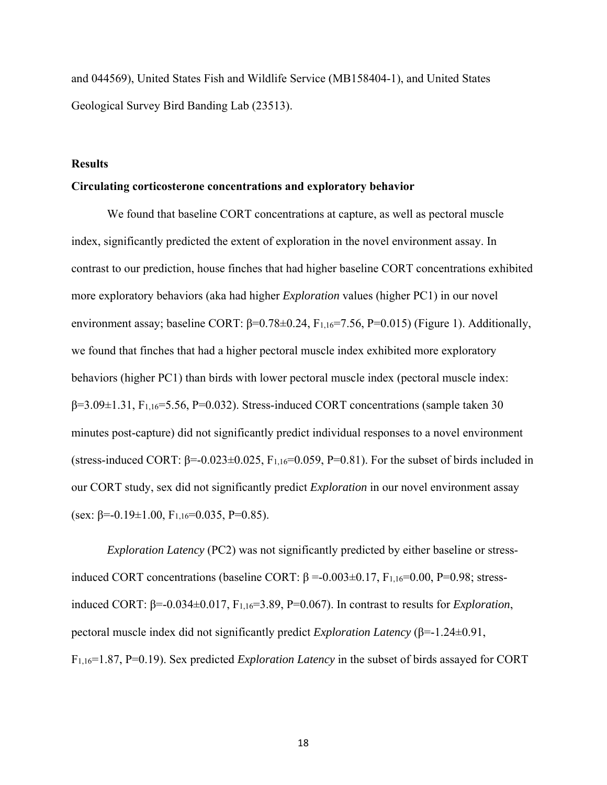and 044569), United States Fish and Wildlife Service (MB158404-1), and United States Geological Survey Bird Banding Lab (23513).

# **Results**

# **Circulating corticosterone concentrations and exploratory behavior**

We found that baseline CORT concentrations at capture, as well as pectoral muscle index, significantly predicted the extent of exploration in the novel environment assay. In contrast to our prediction, house finches that had higher baseline CORT concentrations exhibited more exploratory behaviors (aka had higher *Exploration* values (higher PC1) in our novel environment assay; baseline CORT:  $\beta$ =0.78±0.24, F<sub>1,16</sub>=7.56, P=0.015) (Figure 1). Additionally, we found that finches that had a higher pectoral muscle index exhibited more exploratory behaviors (higher PC1) than birds with lower pectoral muscle index (pectoral muscle index:  $\beta$ =3.09 $\pm$ 1.31, F<sub>1,16</sub>=5.56, P=0.032). Stress-induced CORT concentrations (sample taken 30 minutes post-capture) did not significantly predict individual responses to a novel environment (stress-induced CORT:  $\beta$ =-0.023±0.025, F<sub>1,16</sub>=0.059, P=0.81). For the subset of birds included in our CORT study, sex did not significantly predict *Exploration* in our novel environment assay (sex:  $\beta$ =-0.19±1.00, F<sub>1,16</sub>=0.035, P=0.85).

*Exploration Latency* (PC2) was not significantly predicted by either baseline or stressinduced CORT concentrations (baseline CORT:  $\beta$  =-0.003±0.17, F<sub>1,16</sub>=0.00, P=0.98; stressinduced CORT:  $β=0.034±0.017$ ,  $F<sub>1,16</sub>=3.89$ ,  $P=0.067$ ). In contrast to results for *Exploration*, pectoral muscle index did not significantly predict *Exploration Latency* (β=-1.24±0.91, F1,16=1.87, P=0.19). Sex predicted *Exploration Latency* in the subset of birds assayed for CORT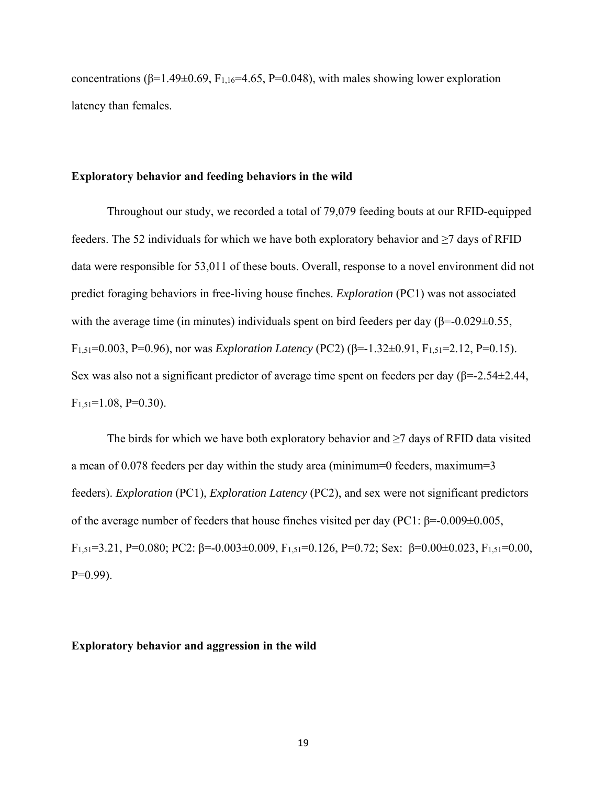concentrations ( $\beta$ =1.49±0.69, F<sub>1,16</sub>=4.65, P=0.048), with males showing lower exploration latency than females.

### **Exploratory behavior and feeding behaviors in the wild**

Throughout our study, we recorded a total of 79,079 feeding bouts at our RFID-equipped feeders. The 52 individuals for which we have both exploratory behavior and  $\geq$ 7 days of RFID data were responsible for 53,011 of these bouts. Overall, response to a novel environment did not predict foraging behaviors in free-living house finches. *Exploration* (PC1) was not associated with the average time (in minutes) individuals spent on bird feeders per day ( $\beta$ =-0.029 $\pm$ 0.55, F1,51=0.003, P=0.96), nor was *Exploration Latency* (PC2) (β=-1.32±0.91, F1,51=2.12, P=0.15). Sex was also not a significant predictor of average time spent on feeders per day (β=-2.54±2.44,  $F_{1,51}=1.08, P=0.30$ ).

The birds for which we have both exploratory behavior and  $\geq$ 7 days of RFID data visited a mean of 0.078 feeders per day within the study area (minimum=0 feeders, maximum=3 feeders). *Exploration* (PC1), *Exploration Latency* (PC2), and sex were not significant predictors of the average number of feeders that house finches visited per day (PC1: β=-0.009±0.005, F1,51=3.21, P=0.080; PC2: β=-0.003±0.009, F1,51=0.126, P=0.72; Sex: β=0.00±0.023, F1,51=0.00,  $P=0.99$ ).

# **Exploratory behavior and aggression in the wild**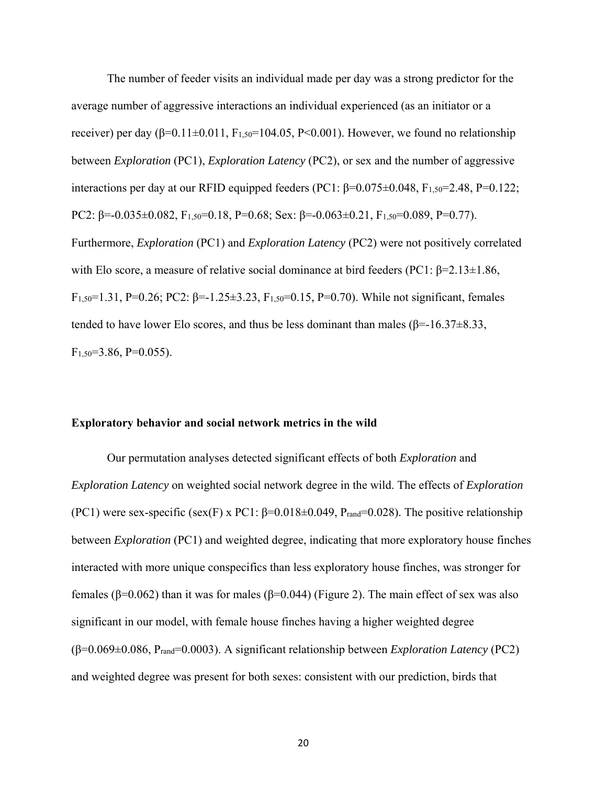The number of feeder visits an individual made per day was a strong predictor for the average number of aggressive interactions an individual experienced (as an initiator or a receiver) per day (β=0.11±0.011, F<sub>1,50</sub>=104.05, P<0.001). However, we found no relationship between *Exploration* (PC1), *Exploration Latency* (PC2), or sex and the number of aggressive interactions per day at our RFID equipped feeders (PC1:  $\beta$ =0.075±0.048, F<sub>1.50</sub>=2.48, P=0.122; PC2: β=-0.035±0.082, F<sub>1,50</sub>=0.18, P=0.68; Sex: β=-0.063±0.21, F<sub>1,50</sub>=0.089, P=0.77). Furthermore, *Exploration* (PC1) and *Exploration Latency* (PC2) were not positively correlated with Elo score, a measure of relative social dominance at bird feeders (PC1:  $\beta$ =2.13±1.86, F<sub>1,50</sub>=1.31, P=0.26; PC2: β=-1.25±3.23, F<sub>1,50</sub>=0.15, P=0.70). While not significant, females tended to have lower Elo scores, and thus be less dominant than males ( $\beta = -16.37 \pm 8.33$ ,  $F_{1,50}=3.86, P=0.055$ ).

#### **Exploratory behavior and social network metrics in the wild**

Our permutation analyses detected significant effects of both *Exploration* and *Exploration Latency* on weighted social network degree in the wild. The effects of *Exploration* (PC1) were sex-specific (sex(F) x PC1:  $\beta$ =0.018±0.049, P<sub>rand</sub>=0.028). The positive relationship between *Exploration* (PC1) and weighted degree, indicating that more exploratory house finches interacted with more unique conspecifics than less exploratory house finches, was stronger for females (β=0.062) than it was for males (β=0.044) (Figure 2). The main effect of sex was also significant in our model, with female house finches having a higher weighted degree (β=0.069±0.086, Prand=0.0003). A significant relationship between *Exploration Latency* (PC2) and weighted degree was present for both sexes: consistent with our prediction, birds that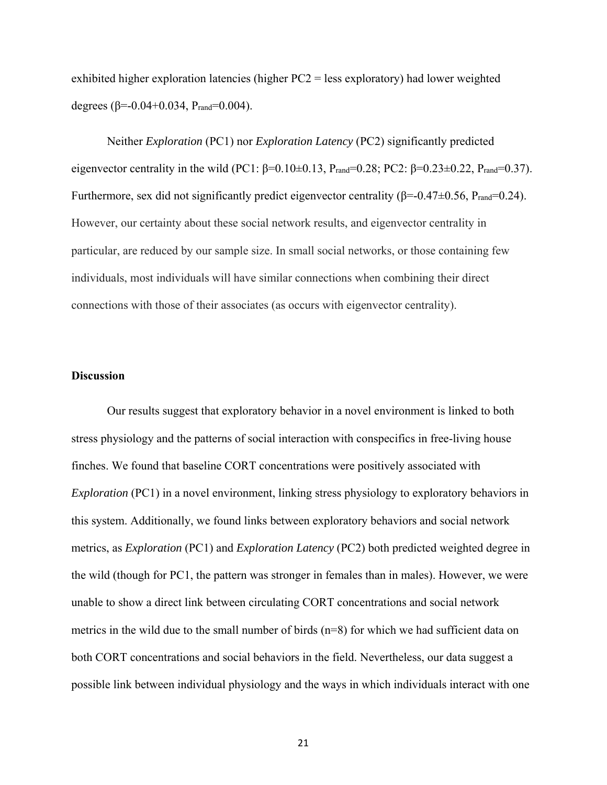exhibited higher exploration latencies (higher PC2 = less exploratory) had lower weighted degrees (β=-0.04+0.034, P<sub>rand</sub>=0.004).

Neither *Exploration* (PC1) nor *Exploration Latency* (PC2) significantly predicted eigenvector centrality in the wild (PC1: β=0.10±0.13, P<sub>rand</sub>=0.28; PC2: β=0.23±0.22, P<sub>rand</sub>=0.37). Furthermore, sex did not significantly predict eigenvector centrality ( $\beta$ =-0.47 $\pm$ 0.56, P<sub>rand</sub>=0.24). However, our certainty about these social network results, and eigenvector centrality in particular, are reduced by our sample size. In small social networks, or those containing few individuals, most individuals will have similar connections when combining their direct connections with those of their associates (as occurs with eigenvector centrality).

# **Discussion**

 Our results suggest that exploratory behavior in a novel environment is linked to both stress physiology and the patterns of social interaction with conspecifics in free-living house finches. We found that baseline CORT concentrations were positively associated with *Exploration* (PC1) in a novel environment, linking stress physiology to exploratory behaviors in this system. Additionally, we found links between exploratory behaviors and social network metrics, as *Exploration* (PC1) and *Exploration Latency* (PC2) both predicted weighted degree in the wild (though for PC1, the pattern was stronger in females than in males). However, we were unable to show a direct link between circulating CORT concentrations and social network metrics in the wild due to the small number of birds  $(n=8)$  for which we had sufficient data on both CORT concentrations and social behaviors in the field. Nevertheless, our data suggest a possible link between individual physiology and the ways in which individuals interact with one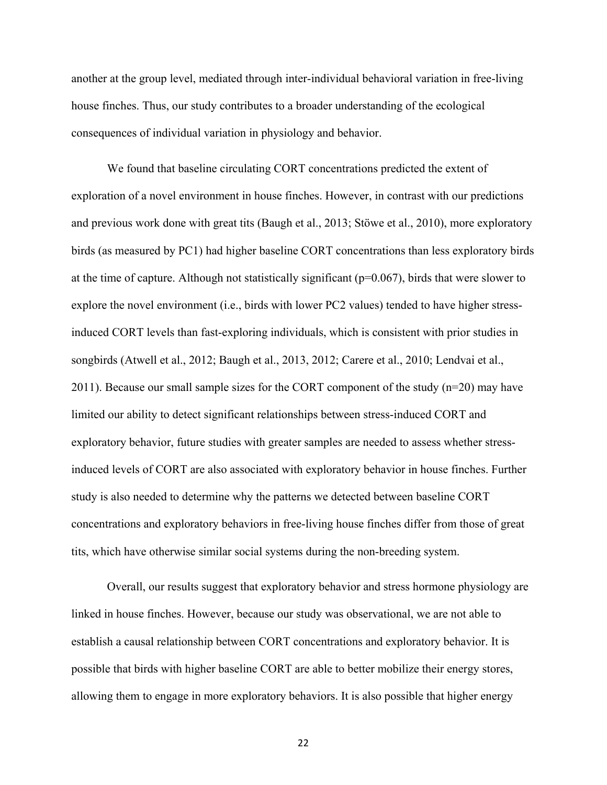another at the group level, mediated through inter-individual behavioral variation in free-living house finches. Thus, our study contributes to a broader understanding of the ecological consequences of individual variation in physiology and behavior.

We found that baseline circulating CORT concentrations predicted the extent of exploration of a novel environment in house finches. However, in contrast with our predictions and previous work done with great tits (Baugh et al., 2013; Stöwe et al., 2010), more exploratory birds (as measured by PC1) had higher baseline CORT concentrations than less exploratory birds at the time of capture. Although not statistically significant ( $p=0.067$ ), birds that were slower to explore the novel environment (i.e., birds with lower PC2 values) tended to have higher stressinduced CORT levels than fast-exploring individuals, which is consistent with prior studies in songbirds (Atwell et al., 2012; Baugh et al., 2013, 2012; Carere et al., 2010; Lendvai et al., 2011). Because our small sample sizes for the CORT component of the study  $(n=20)$  may have limited our ability to detect significant relationships between stress-induced CORT and exploratory behavior, future studies with greater samples are needed to assess whether stressinduced levels of CORT are also associated with exploratory behavior in house finches. Further study is also needed to determine why the patterns we detected between baseline CORT concentrations and exploratory behaviors in free-living house finches differ from those of great tits, which have otherwise similar social systems during the non-breeding system.

Overall, our results suggest that exploratory behavior and stress hormone physiology are linked in house finches. However, because our study was observational, we are not able to establish a causal relationship between CORT concentrations and exploratory behavior. It is possible that birds with higher baseline CORT are able to better mobilize their energy stores, allowing them to engage in more exploratory behaviors. It is also possible that higher energy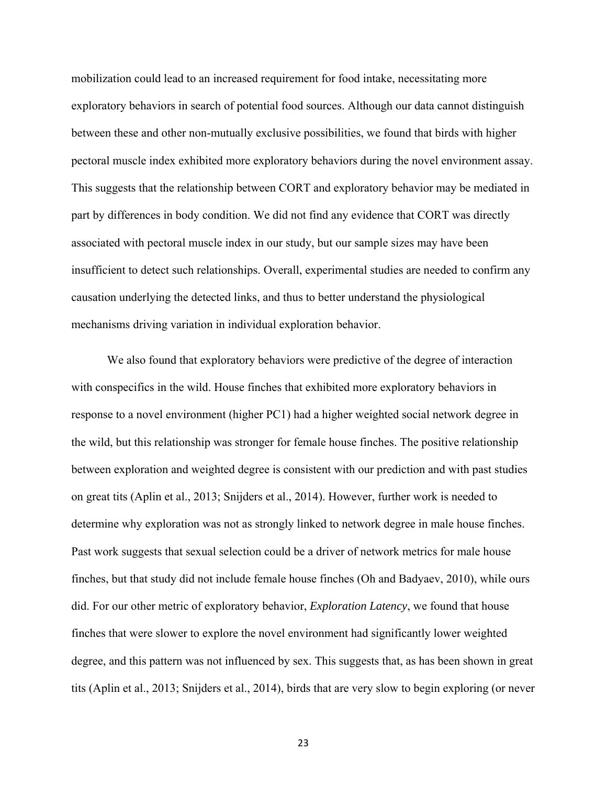mobilization could lead to an increased requirement for food intake, necessitating more exploratory behaviors in search of potential food sources. Although our data cannot distinguish between these and other non-mutually exclusive possibilities, we found that birds with higher pectoral muscle index exhibited more exploratory behaviors during the novel environment assay. This suggests that the relationship between CORT and exploratory behavior may be mediated in part by differences in body condition. We did not find any evidence that CORT was directly associated with pectoral muscle index in our study, but our sample sizes may have been insufficient to detect such relationships. Overall, experimental studies are needed to confirm any causation underlying the detected links, and thus to better understand the physiological mechanisms driving variation in individual exploration behavior.

We also found that exploratory behaviors were predictive of the degree of interaction with conspecifics in the wild. House finches that exhibited more exploratory behaviors in response to a novel environment (higher PC1) had a higher weighted social network degree in the wild, but this relationship was stronger for female house finches. The positive relationship between exploration and weighted degree is consistent with our prediction and with past studies on great tits (Aplin et al., 2013; Snijders et al., 2014). However, further work is needed to determine why exploration was not as strongly linked to network degree in male house finches. Past work suggests that sexual selection could be a driver of network metrics for male house finches, but that study did not include female house finches (Oh and Badyaev, 2010), while ours did. For our other metric of exploratory behavior, *Exploration Latency*, we found that house finches that were slower to explore the novel environment had significantly lower weighted degree, and this pattern was not influenced by sex. This suggests that, as has been shown in great tits (Aplin et al., 2013; Snijders et al., 2014), birds that are very slow to begin exploring (or never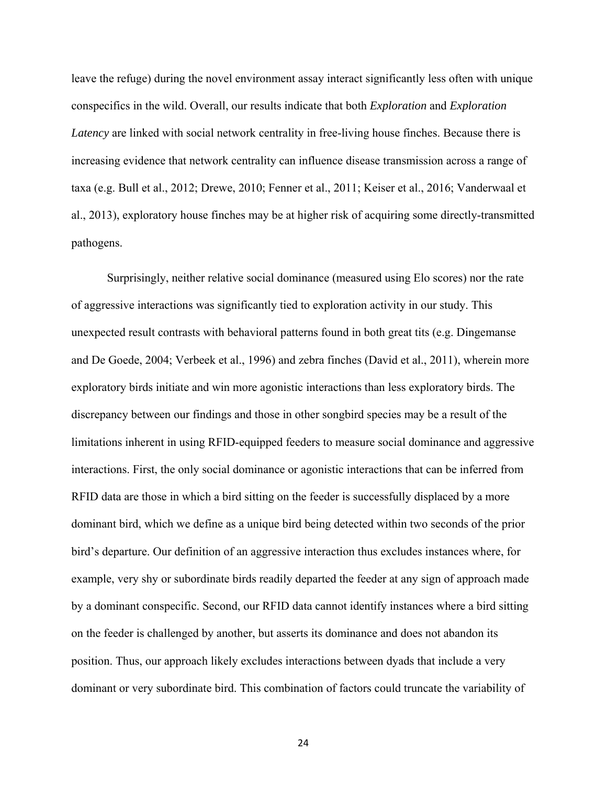leave the refuge) during the novel environment assay interact significantly less often with unique conspecifics in the wild. Overall, our results indicate that both *Exploration* and *Exploration Latency* are linked with social network centrality in free-living house finches. Because there is increasing evidence that network centrality can influence disease transmission across a range of taxa (e.g. Bull et al., 2012; Drewe, 2010; Fenner et al., 2011; Keiser et al., 2016; Vanderwaal et al., 2013), exploratory house finches may be at higher risk of acquiring some directly-transmitted pathogens.

Surprisingly, neither relative social dominance (measured using Elo scores) nor the rate of aggressive interactions was significantly tied to exploration activity in our study. This unexpected result contrasts with behavioral patterns found in both great tits (e.g. Dingemanse and De Goede, 2004; Verbeek et al., 1996) and zebra finches (David et al., 2011), wherein more exploratory birds initiate and win more agonistic interactions than less exploratory birds. The discrepancy between our findings and those in other songbird species may be a result of the limitations inherent in using RFID-equipped feeders to measure social dominance and aggressive interactions. First, the only social dominance or agonistic interactions that can be inferred from RFID data are those in which a bird sitting on the feeder is successfully displaced by a more dominant bird, which we define as a unique bird being detected within two seconds of the prior bird's departure. Our definition of an aggressive interaction thus excludes instances where, for example, very shy or subordinate birds readily departed the feeder at any sign of approach made by a dominant conspecific. Second, our RFID data cannot identify instances where a bird sitting on the feeder is challenged by another, but asserts its dominance and does not abandon its position. Thus, our approach likely excludes interactions between dyads that include a very dominant or very subordinate bird. This combination of factors could truncate the variability of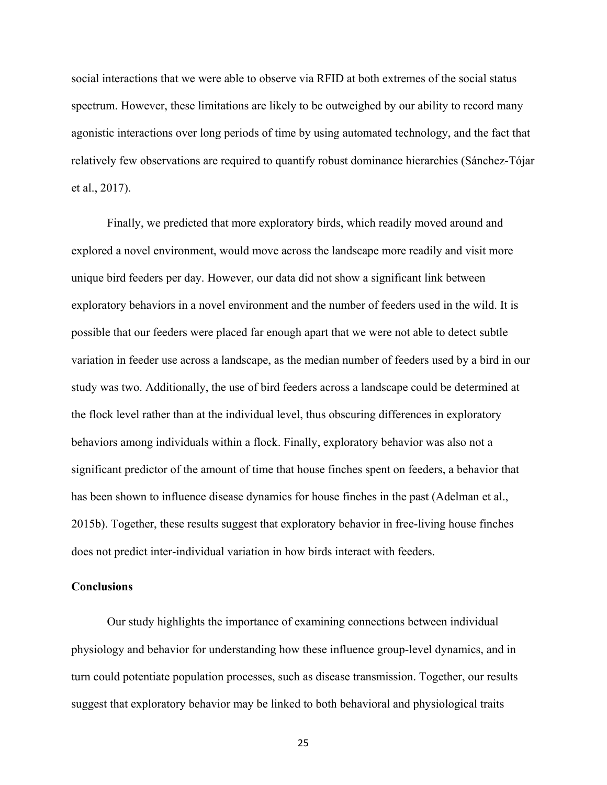social interactions that we were able to observe via RFID at both extremes of the social status spectrum. However, these limitations are likely to be outweighed by our ability to record many agonistic interactions over long periods of time by using automated technology, and the fact that relatively few observations are required to quantify robust dominance hierarchies (Sánchez-Tójar et al., 2017).

Finally, we predicted that more exploratory birds, which readily moved around and explored a novel environment, would move across the landscape more readily and visit more unique bird feeders per day. However, our data did not show a significant link between exploratory behaviors in a novel environment and the number of feeders used in the wild. It is possible that our feeders were placed far enough apart that we were not able to detect subtle variation in feeder use across a landscape, as the median number of feeders used by a bird in our study was two. Additionally, the use of bird feeders across a landscape could be determined at the flock level rather than at the individual level, thus obscuring differences in exploratory behaviors among individuals within a flock. Finally, exploratory behavior was also not a significant predictor of the amount of time that house finches spent on feeders, a behavior that has been shown to influence disease dynamics for house finches in the past (Adelman et al., 2015b). Together, these results suggest that exploratory behavior in free-living house finches does not predict inter-individual variation in how birds interact with feeders.

## **Conclusions**

 Our study highlights the importance of examining connections between individual physiology and behavior for understanding how these influence group-level dynamics, and in turn could potentiate population processes, such as disease transmission. Together, our results suggest that exploratory behavior may be linked to both behavioral and physiological traits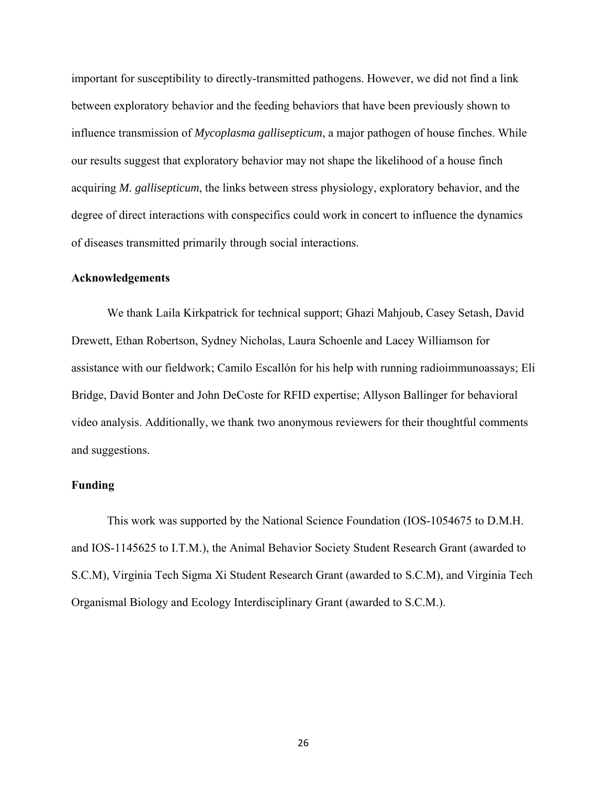important for susceptibility to directly-transmitted pathogens. However, we did not find a link between exploratory behavior and the feeding behaviors that have been previously shown to influence transmission of *Mycoplasma gallisepticum*, a major pathogen of house finches. While our results suggest that exploratory behavior may not shape the likelihood of a house finch acquiring *M. gallisepticum*, the links between stress physiology, exploratory behavior, and the degree of direct interactions with conspecifics could work in concert to influence the dynamics of diseases transmitted primarily through social interactions.

### **Acknowledgements**

We thank Laila Kirkpatrick for technical support; Ghazi Mahjoub, Casey Setash, David Drewett, Ethan Robertson, Sydney Nicholas, Laura Schoenle and Lacey Williamson for assistance with our fieldwork; Camilo Escallón for his help with running radioimmunoassays; Eli Bridge, David Bonter and John DeCoste for RFID expertise; Allyson Ballinger for behavioral video analysis. Additionally, we thank two anonymous reviewers for their thoughtful comments and suggestions.

# **Funding**

This work was supported by the National Science Foundation (IOS-1054675 to D.M.H. and IOS-1145625 to I.T.M.), the Animal Behavior Society Student Research Grant (awarded to S.C.M), Virginia Tech Sigma Xi Student Research Grant (awarded to S.C.M), and Virginia Tech Organismal Biology and Ecology Interdisciplinary Grant (awarded to S.C.M.).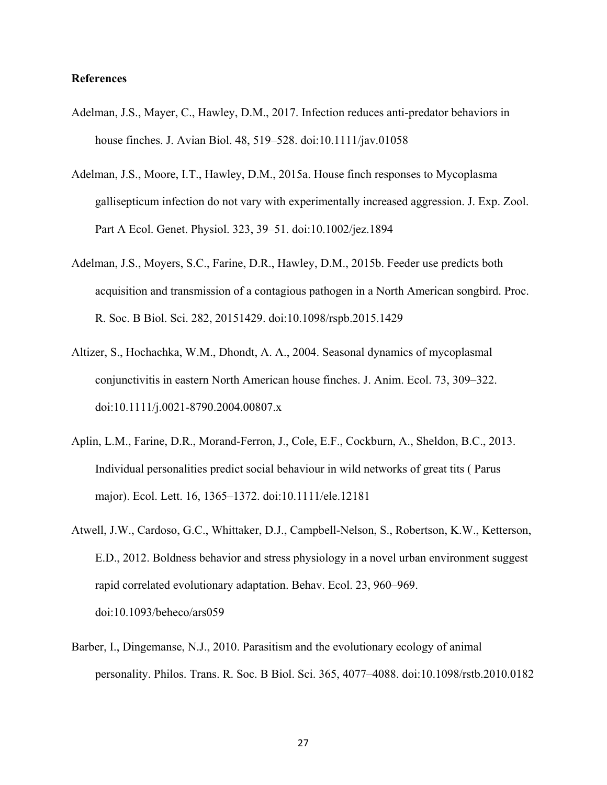# **References**

- Adelman, J.S., Mayer, C., Hawley, D.M., 2017. Infection reduces anti-predator behaviors in house finches. J. Avian Biol. 48, 519–528. doi:10.1111/jav.01058
- Adelman, J.S., Moore, I.T., Hawley, D.M., 2015a. House finch responses to Mycoplasma gallisepticum infection do not vary with experimentally increased aggression. J. Exp. Zool. Part A Ecol. Genet. Physiol. 323, 39–51. doi:10.1002/jez.1894
- Adelman, J.S., Moyers, S.C., Farine, D.R., Hawley, D.M., 2015b. Feeder use predicts both acquisition and transmission of a contagious pathogen in a North American songbird. Proc. R. Soc. B Biol. Sci. 282, 20151429. doi:10.1098/rspb.2015.1429
- Altizer, S., Hochachka, W.M., Dhondt, A. A., 2004. Seasonal dynamics of mycoplasmal conjunctivitis in eastern North American house finches. J. Anim. Ecol. 73, 309–322. doi:10.1111/j.0021-8790.2004.00807.x
- Aplin, L.M., Farine, D.R., Morand-Ferron, J., Cole, E.F., Cockburn, A., Sheldon, B.C., 2013. Individual personalities predict social behaviour in wild networks of great tits ( Parus major). Ecol. Lett. 16, 1365–1372. doi:10.1111/ele.12181
- Atwell, J.W., Cardoso, G.C., Whittaker, D.J., Campbell-Nelson, S., Robertson, K.W., Ketterson, E.D., 2012. Boldness behavior and stress physiology in a novel urban environment suggest rapid correlated evolutionary adaptation. Behav. Ecol. 23, 960–969. doi:10.1093/beheco/ars059
- Barber, I., Dingemanse, N.J., 2010. Parasitism and the evolutionary ecology of animal personality. Philos. Trans. R. Soc. B Biol. Sci. 365, 4077–4088. doi:10.1098/rstb.2010.0182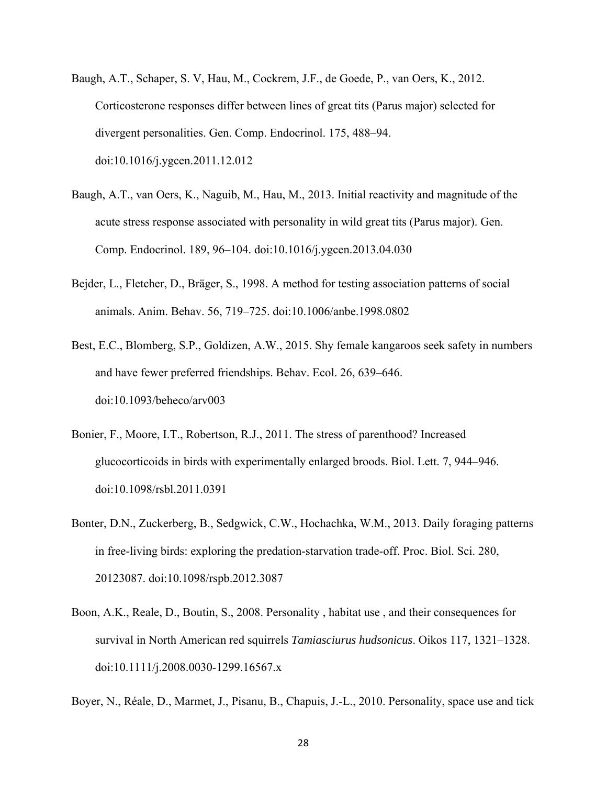- Baugh, A.T., Schaper, S. V, Hau, M., Cockrem, J.F., de Goede, P., van Oers, K., 2012. Corticosterone responses differ between lines of great tits (Parus major) selected for divergent personalities. Gen. Comp. Endocrinol. 175, 488–94. doi:10.1016/j.ygcen.2011.12.012
- Baugh, A.T., van Oers, K., Naguib, M., Hau, M., 2013. Initial reactivity and magnitude of the acute stress response associated with personality in wild great tits (Parus major). Gen. Comp. Endocrinol. 189, 96–104. doi:10.1016/j.ygcen.2013.04.030
- Bejder, L., Fletcher, D., Bräger, S., 1998. A method for testing association patterns of social animals. Anim. Behav. 56, 719–725. doi:10.1006/anbe.1998.0802
- Best, E.C., Blomberg, S.P., Goldizen, A.W., 2015. Shy female kangaroos seek safety in numbers and have fewer preferred friendships. Behav. Ecol. 26, 639–646. doi:10.1093/beheco/arv003
- Bonier, F., Moore, I.T., Robertson, R.J., 2011. The stress of parenthood? Increased glucocorticoids in birds with experimentally enlarged broods. Biol. Lett. 7, 944–946. doi:10.1098/rsbl.2011.0391
- Bonter, D.N., Zuckerberg, B., Sedgwick, C.W., Hochachka, W.M., 2013. Daily foraging patterns in free-living birds: exploring the predation-starvation trade-off. Proc. Biol. Sci. 280, 20123087. doi:10.1098/rspb.2012.3087
- Boon, A.K., Reale, D., Boutin, S., 2008. Personality , habitat use , and their consequences for survival in North American red squirrels *Tamiasciurus hudsonicus*. Oikos 117, 1321–1328. doi:10.1111/j.2008.0030-1299.16567.x

Boyer, N., Réale, D., Marmet, J., Pisanu, B., Chapuis, J.-L., 2010. Personality, space use and tick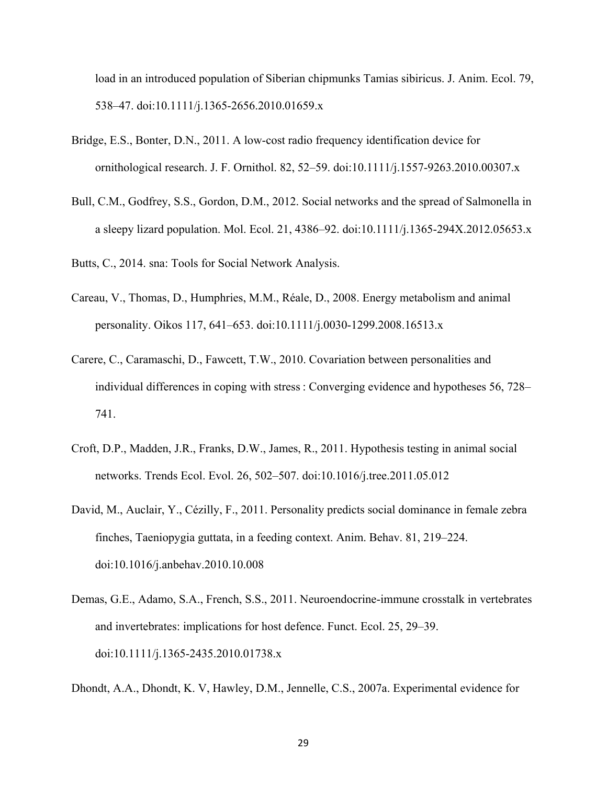load in an introduced population of Siberian chipmunks Tamias sibiricus. J. Anim. Ecol. 79, 538–47. doi:10.1111/j.1365-2656.2010.01659.x

- Bridge, E.S., Bonter, D.N., 2011. A low-cost radio frequency identification device for ornithological research. J. F. Ornithol. 82, 52–59. doi:10.1111/j.1557-9263.2010.00307.x
- Bull, C.M., Godfrey, S.S., Gordon, D.M., 2012. Social networks and the spread of Salmonella in a sleepy lizard population. Mol. Ecol. 21, 4386–92. doi:10.1111/j.1365-294X.2012.05653.x

Butts, C., 2014. sna: Tools for Social Network Analysis.

- Careau, V., Thomas, D., Humphries, M.M., Réale, D., 2008. Energy metabolism and animal personality. Oikos 117, 641–653. doi:10.1111/j.0030-1299.2008.16513.x
- Carere, C., Caramaschi, D., Fawcett, T.W., 2010. Covariation between personalities and individual differences in coping with stress : Converging evidence and hypotheses 56, 728– 741.
- Croft, D.P., Madden, J.R., Franks, D.W., James, R., 2011. Hypothesis testing in animal social networks. Trends Ecol. Evol. 26, 502–507. doi:10.1016/j.tree.2011.05.012
- David, M., Auclair, Y., Cézilly, F., 2011. Personality predicts social dominance in female zebra finches, Taeniopygia guttata, in a feeding context. Anim. Behav. 81, 219–224. doi:10.1016/j.anbehav.2010.10.008
- Demas, G.E., Adamo, S.A., French, S.S., 2011. Neuroendocrine-immune crosstalk in vertebrates and invertebrates: implications for host defence. Funct. Ecol. 25, 29–39. doi:10.1111/j.1365-2435.2010.01738.x

Dhondt, A.A., Dhondt, K. V, Hawley, D.M., Jennelle, C.S., 2007a. Experimental evidence for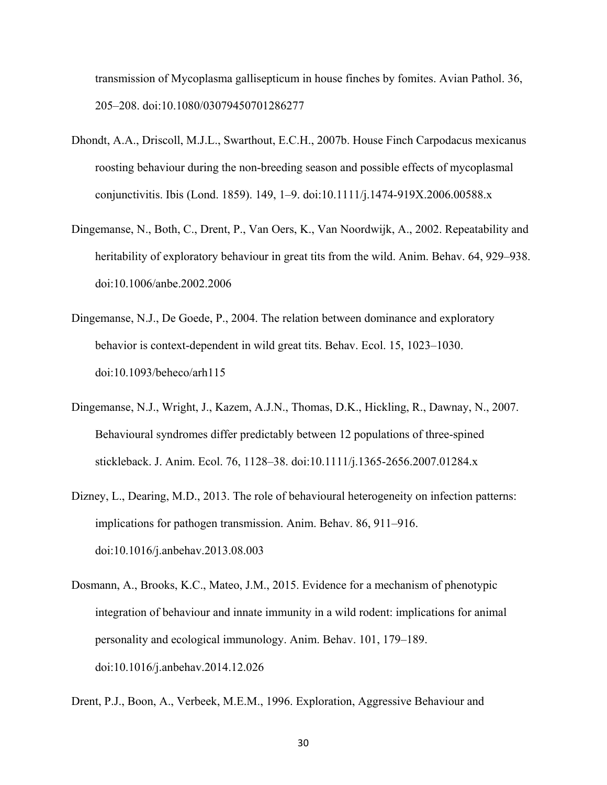transmission of Mycoplasma gallisepticum in house finches by fomites. Avian Pathol. 36, 205–208. doi:10.1080/03079450701286277

- Dhondt, A.A., Driscoll, M.J.L., Swarthout, E.C.H., 2007b. House Finch Carpodacus mexicanus roosting behaviour during the non-breeding season and possible effects of mycoplasmal conjunctivitis. Ibis (Lond. 1859). 149, 1–9. doi:10.1111/j.1474-919X.2006.00588.x
- Dingemanse, N., Both, C., Drent, P., Van Oers, K., Van Noordwijk, A., 2002. Repeatability and heritability of exploratory behaviour in great tits from the wild. Anim. Behav. 64, 929–938. doi:10.1006/anbe.2002.2006
- Dingemanse, N.J., De Goede, P., 2004. The relation between dominance and exploratory behavior is context-dependent in wild great tits. Behav. Ecol. 15, 1023–1030. doi:10.1093/beheco/arh115
- Dingemanse, N.J., Wright, J., Kazem, A.J.N., Thomas, D.K., Hickling, R., Dawnay, N., 2007. Behavioural syndromes differ predictably between 12 populations of three-spined stickleback. J. Anim. Ecol. 76, 1128–38. doi:10.1111/j.1365-2656.2007.01284.x
- Dizney, L., Dearing, M.D., 2013. The role of behavioural heterogeneity on infection patterns: implications for pathogen transmission. Anim. Behav. 86, 911–916. doi:10.1016/j.anbehav.2013.08.003
- Dosmann, A., Brooks, K.C., Mateo, J.M., 2015. Evidence for a mechanism of phenotypic integration of behaviour and innate immunity in a wild rodent: implications for animal personality and ecological immunology. Anim. Behav. 101, 179–189. doi:10.1016/j.anbehav.2014.12.026

Drent, P.J., Boon, A., Verbeek, M.E.M., 1996. Exploration, Aggressive Behaviour and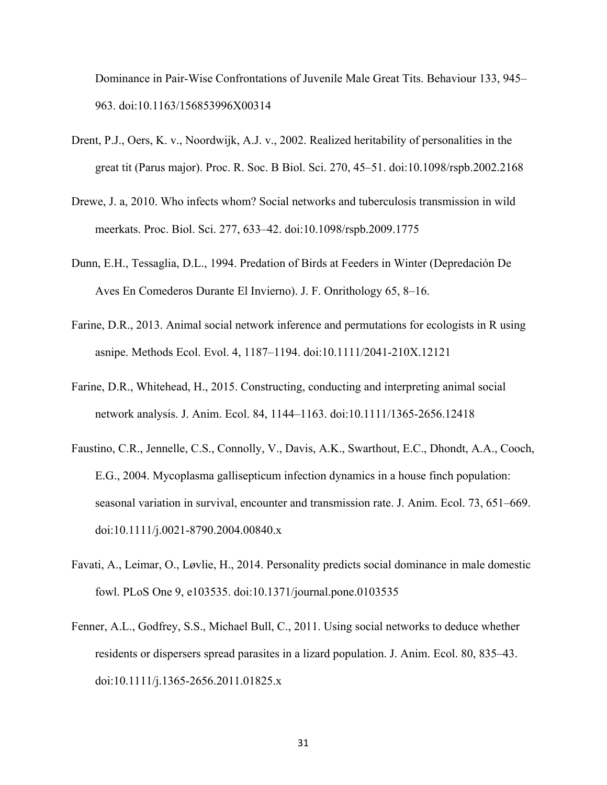Dominance in Pair-Wise Confrontations of Juvenile Male Great Tits. Behaviour 133, 945– 963. doi:10.1163/156853996X00314

- Drent, P.J., Oers, K. v., Noordwijk, A.J. v., 2002. Realized heritability of personalities in the great tit (Parus major). Proc. R. Soc. B Biol. Sci. 270, 45–51. doi:10.1098/rspb.2002.2168
- Drewe, J. a, 2010. Who infects whom? Social networks and tuberculosis transmission in wild meerkats. Proc. Biol. Sci. 277, 633–42. doi:10.1098/rspb.2009.1775
- Dunn, E.H., Tessaglia, D.L., 1994. Predation of Birds at Feeders in Winter (Depredación De Aves En Comederos Durante El Invierno). J. F. Onrithology 65, 8–16.
- Farine, D.R., 2013. Animal social network inference and permutations for ecologists in R using asnipe. Methods Ecol. Evol. 4, 1187–1194. doi:10.1111/2041-210X.12121
- Farine, D.R., Whitehead, H., 2015. Constructing, conducting and interpreting animal social network analysis. J. Anim. Ecol. 84, 1144–1163. doi:10.1111/1365-2656.12418
- Faustino, C.R., Jennelle, C.S., Connolly, V., Davis, A.K., Swarthout, E.C., Dhondt, A.A., Cooch, E.G., 2004. Mycoplasma gallisepticum infection dynamics in a house finch population: seasonal variation in survival, encounter and transmission rate. J. Anim. Ecol. 73, 651–669. doi:10.1111/j.0021-8790.2004.00840.x
- Favati, A., Leimar, O., Løvlie, H., 2014. Personality predicts social dominance in male domestic fowl. PLoS One 9, e103535. doi:10.1371/journal.pone.0103535
- Fenner, A.L., Godfrey, S.S., Michael Bull, C., 2011. Using social networks to deduce whether residents or dispersers spread parasites in a lizard population. J. Anim. Ecol. 80, 835–43. doi:10.1111/j.1365-2656.2011.01825.x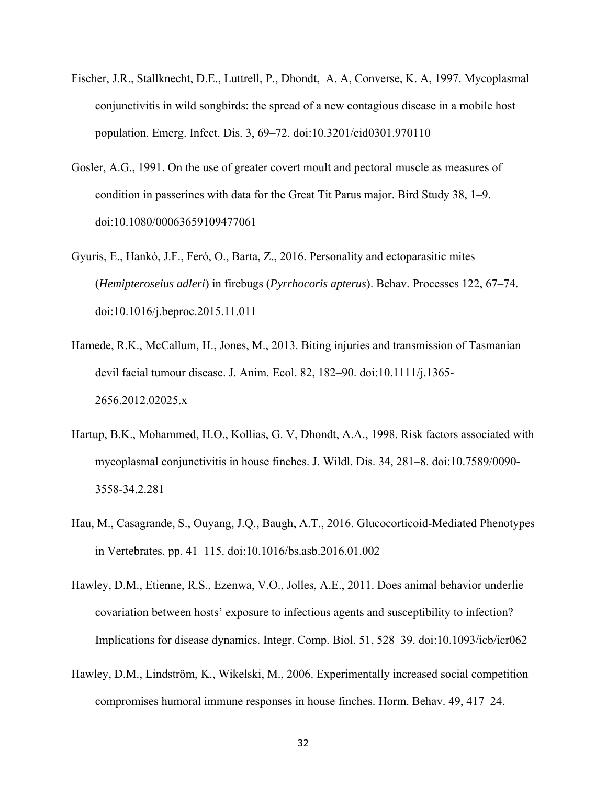- Fischer, J.R., Stallknecht, D.E., Luttrell, P., Dhondt, A. A, Converse, K. A, 1997. Mycoplasmal conjunctivitis in wild songbirds: the spread of a new contagious disease in a mobile host population. Emerg. Infect. Dis. 3, 69–72. doi:10.3201/eid0301.970110
- Gosler, A.G., 1991. On the use of greater covert moult and pectoral muscle as measures of condition in passerines with data for the Great Tit Parus major. Bird Study 38, 1–9. doi:10.1080/00063659109477061
- Gyuris, E., Hankó, J.F., Feró, O., Barta, Z., 2016. Personality and ectoparasitic mites (*Hemipteroseius adleri*) in firebugs (*Pyrrhocoris apterus*). Behav. Processes 122, 67–74. doi:10.1016/j.beproc.2015.11.011
- Hamede, R.K., McCallum, H., Jones, M., 2013. Biting injuries and transmission of Tasmanian devil facial tumour disease. J. Anim. Ecol. 82, 182–90. doi:10.1111/j.1365- 2656.2012.02025.x
- Hartup, B.K., Mohammed, H.O., Kollias, G. V, Dhondt, A.A., 1998. Risk factors associated with mycoplasmal conjunctivitis in house finches. J. Wildl. Dis. 34, 281–8. doi:10.7589/0090- 3558-34.2.281
- Hau, M., Casagrande, S., Ouyang, J.Q., Baugh, A.T., 2016. Glucocorticoid-Mediated Phenotypes in Vertebrates. pp. 41–115. doi:10.1016/bs.asb.2016.01.002
- Hawley, D.M., Etienne, R.S., Ezenwa, V.O., Jolles, A.E., 2011. Does animal behavior underlie covariation between hosts' exposure to infectious agents and susceptibility to infection? Implications for disease dynamics. Integr. Comp. Biol. 51, 528–39. doi:10.1093/icb/icr062
- Hawley, D.M., Lindström, K., Wikelski, M., 2006. Experimentally increased social competition compromises humoral immune responses in house finches. Horm. Behav. 49, 417–24.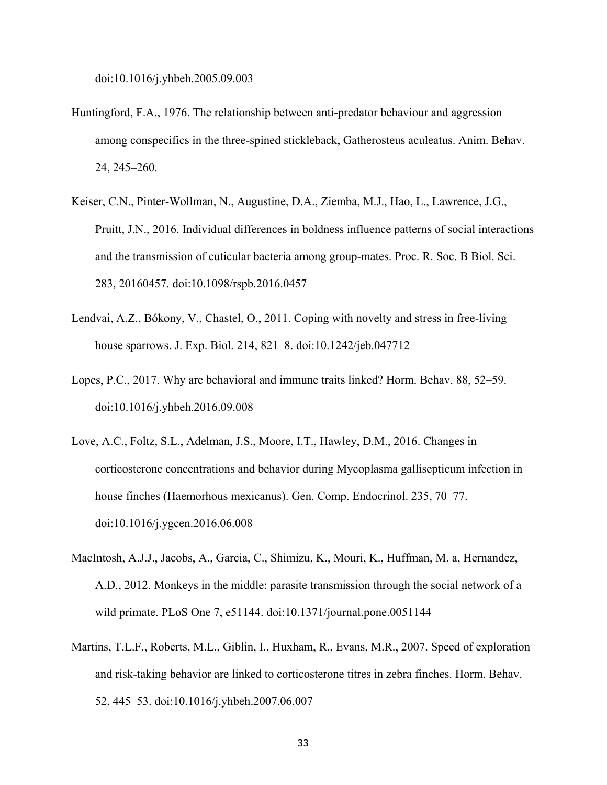doi:10.1016/j.yhbeh.2005.09.003

- Huntingford, F.A., 1976. The relationship between anti-predator behaviour and aggression among conspecifics in the three-spined stickleback, Gatherosteus aculeatus. Anim. Behav. 24, 245–260.
- Keiser, C.N., Pinter-Wollman, N., Augustine, D.A., Ziemba, M.J., Hao, L., Lawrence, J.G., Pruitt, J.N., 2016. Individual differences in boldness influence patterns of social interactions and the transmission of cuticular bacteria among group-mates. Proc. R. Soc. B Biol. Sci. 283, 20160457. doi:10.1098/rspb.2016.0457
- Lendvai, A.Z., Bókony, V., Chastel, O., 2011. Coping with novelty and stress in free-living house sparrows. J. Exp. Biol. 214, 821–8. doi:10.1242/jeb.047712
- Lopes, P.C., 2017. Why are behavioral and immune traits linked? Horm. Behav. 88, 52–59. doi:10.1016/j.yhbeh.2016.09.008
- Love, A.C., Foltz, S.L., Adelman, J.S., Moore, I.T., Hawley, D.M., 2016. Changes in corticosterone concentrations and behavior during Mycoplasma gallisepticum infection in house finches (Haemorhous mexicanus). Gen. Comp. Endocrinol. 235, 70–77. doi:10.1016/j.ygcen.2016.06.008
- MacIntosh, A.J.J., Jacobs, A., Garcia, C., Shimizu, K., Mouri, K., Huffman, M. a, Hernandez, A.D., 2012. Monkeys in the middle: parasite transmission through the social network of a wild primate. PLoS One 7, e51144. doi:10.1371/journal.pone.0051144
- Martins, T.L.F., Roberts, M.L., Giblin, I., Huxham, R., Evans, M.R., 2007. Speed of exploration and risk-taking behavior are linked to corticosterone titres in zebra finches. Horm. Behav. 52, 445–53. doi:10.1016/j.yhbeh.2007.06.007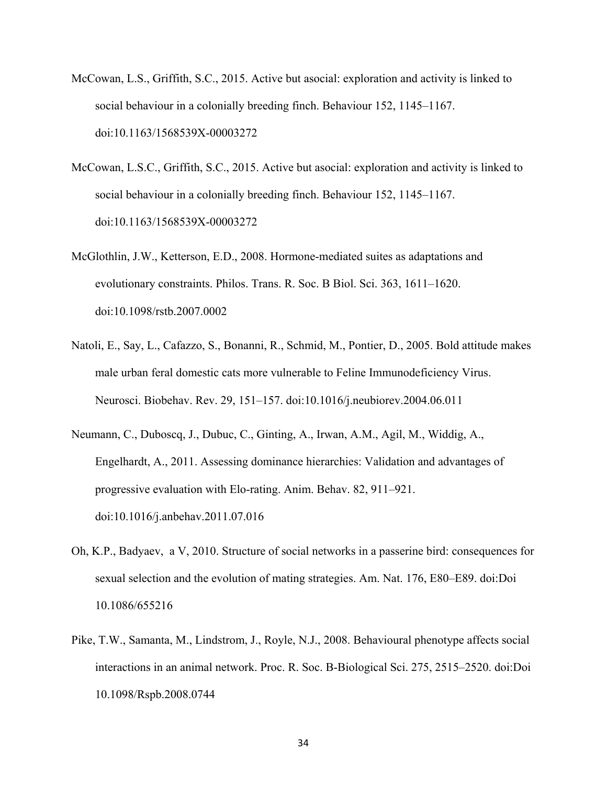- McCowan, L.S., Griffith, S.C., 2015. Active but asocial: exploration and activity is linked to social behaviour in a colonially breeding finch. Behaviour 152, 1145–1167. doi:10.1163/1568539X-00003272
- McCowan, L.S.C., Griffith, S.C., 2015. Active but asocial: exploration and activity is linked to social behaviour in a colonially breeding finch. Behaviour 152, 1145–1167. doi:10.1163/1568539X-00003272
- McGlothlin, J.W., Ketterson, E.D., 2008. Hormone-mediated suites as adaptations and evolutionary constraints. Philos. Trans. R. Soc. B Biol. Sci. 363, 1611–1620. doi:10.1098/rstb.2007.0002
- Natoli, E., Say, L., Cafazzo, S., Bonanni, R., Schmid, M., Pontier, D., 2005. Bold attitude makes male urban feral domestic cats more vulnerable to Feline Immunodeficiency Virus. Neurosci. Biobehav. Rev. 29, 151–157. doi:10.1016/j.neubiorev.2004.06.011
- Neumann, C., Duboscq, J., Dubuc, C., Ginting, A., Irwan, A.M., Agil, M., Widdig, A., Engelhardt, A., 2011. Assessing dominance hierarchies: Validation and advantages of progressive evaluation with Elo-rating. Anim. Behav. 82, 911–921. doi:10.1016/j.anbehav.2011.07.016
- Oh, K.P., Badyaev, a V, 2010. Structure of social networks in a passerine bird: consequences for sexual selection and the evolution of mating strategies. Am. Nat. 176, E80–E89. doi:Doi 10.1086/655216
- Pike, T.W., Samanta, M., Lindstrom, J., Royle, N.J., 2008. Behavioural phenotype affects social interactions in an animal network. Proc. R. Soc. B-Biological Sci. 275, 2515–2520. doi:Doi 10.1098/Rspb.2008.0744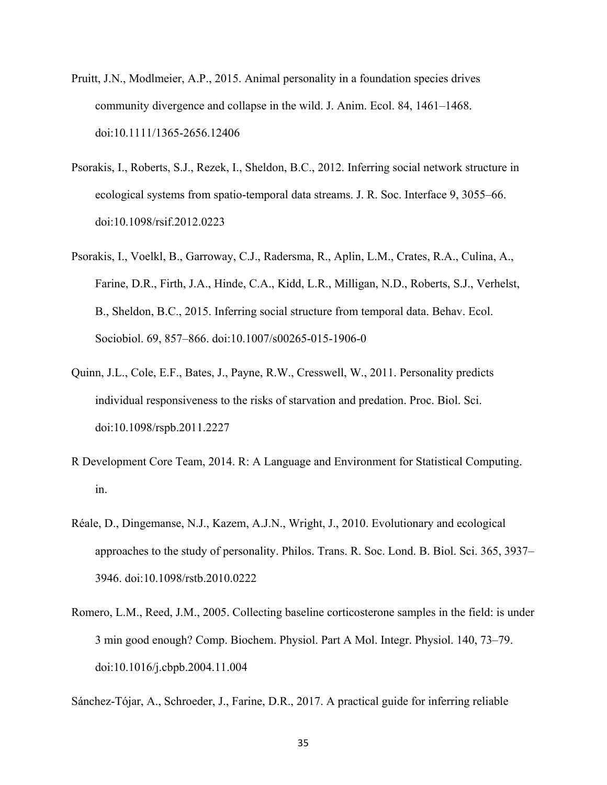- Pruitt, J.N., Modlmeier, A.P., 2015. Animal personality in a foundation species drives community divergence and collapse in the wild. J. Anim. Ecol. 84, 1461–1468. doi:10.1111/1365-2656.12406
- Psorakis, I., Roberts, S.J., Rezek, I., Sheldon, B.C., 2012. Inferring social network structure in ecological systems from spatio-temporal data streams. J. R. Soc. Interface 9, 3055–66. doi:10.1098/rsif.2012.0223
- Psorakis, I., Voelkl, B., Garroway, C.J., Radersma, R., Aplin, L.M., Crates, R.A., Culina, A., Farine, D.R., Firth, J.A., Hinde, C.A., Kidd, L.R., Milligan, N.D., Roberts, S.J., Verhelst, B., Sheldon, B.C., 2015. Inferring social structure from temporal data. Behav. Ecol. Sociobiol. 69, 857–866. doi:10.1007/s00265-015-1906-0
- Quinn, J.L., Cole, E.F., Bates, J., Payne, R.W., Cresswell, W., 2011. Personality predicts individual responsiveness to the risks of starvation and predation. Proc. Biol. Sci. doi:10.1098/rspb.2011.2227
- R Development Core Team, 2014. R: A Language and Environment for Statistical Computing. in.
- Réale, D., Dingemanse, N.J., Kazem, A.J.N., Wright, J., 2010. Evolutionary and ecological approaches to the study of personality. Philos. Trans. R. Soc. Lond. B. Biol. Sci. 365, 3937– 3946. doi:10.1098/rstb.2010.0222
- Romero, L.M., Reed, J.M., 2005. Collecting baseline corticosterone samples in the field: is under 3 min good enough? Comp. Biochem. Physiol. Part A Mol. Integr. Physiol. 140, 73–79. doi:10.1016/j.cbpb.2004.11.004

Sánchez-Tójar, A., Schroeder, J., Farine, D.R., 2017. A practical guide for inferring reliable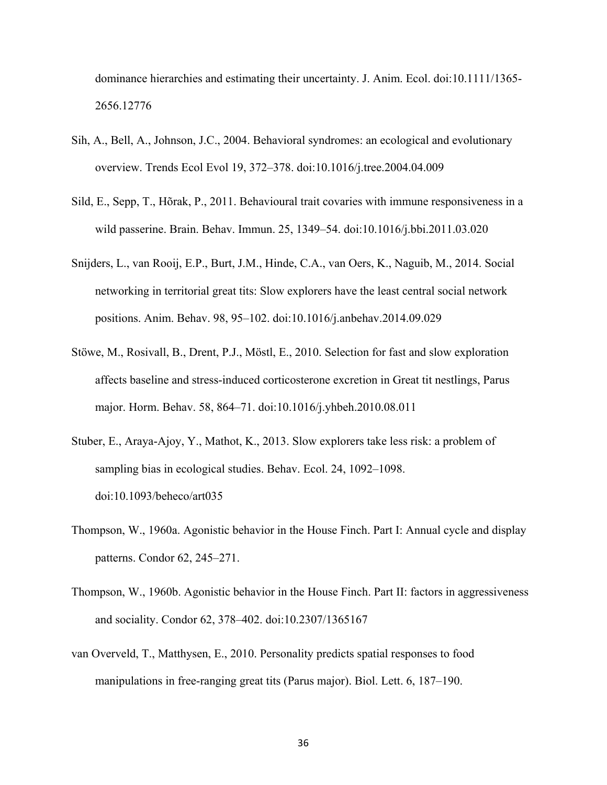dominance hierarchies and estimating their uncertainty. J. Anim. Ecol. doi:10.1111/1365- 2656.12776

- Sih, A., Bell, A., Johnson, J.C., 2004. Behavioral syndromes: an ecological and evolutionary overview. Trends Ecol Evol 19, 372–378. doi:10.1016/j.tree.2004.04.009
- Sild, E., Sepp, T., Hõrak, P., 2011. Behavioural trait covaries with immune responsiveness in a wild passerine. Brain. Behav. Immun. 25, 1349–54. doi:10.1016/j.bbi.2011.03.020
- Snijders, L., van Rooij, E.P., Burt, J.M., Hinde, C.A., van Oers, K., Naguib, M., 2014. Social networking in territorial great tits: Slow explorers have the least central social network positions. Anim. Behav. 98, 95–102. doi:10.1016/j.anbehav.2014.09.029
- Stöwe, M., Rosivall, B., Drent, P.J., Möstl, E., 2010. Selection for fast and slow exploration affects baseline and stress-induced corticosterone excretion in Great tit nestlings, Parus major. Horm. Behav. 58, 864–71. doi:10.1016/j.yhbeh.2010.08.011
- Stuber, E., Araya-Ajoy, Y., Mathot, K., 2013. Slow explorers take less risk: a problem of sampling bias in ecological studies. Behav. Ecol. 24, 1092–1098. doi:10.1093/beheco/art035
- Thompson, W., 1960a. Agonistic behavior in the House Finch. Part I: Annual cycle and display patterns. Condor 62, 245–271.
- Thompson, W., 1960b. Agonistic behavior in the House Finch. Part II: factors in aggressiveness and sociality. Condor 62, 378–402. doi:10.2307/1365167
- van Overveld, T., Matthysen, E., 2010. Personality predicts spatial responses to food manipulations in free-ranging great tits (Parus major). Biol. Lett. 6, 187–190.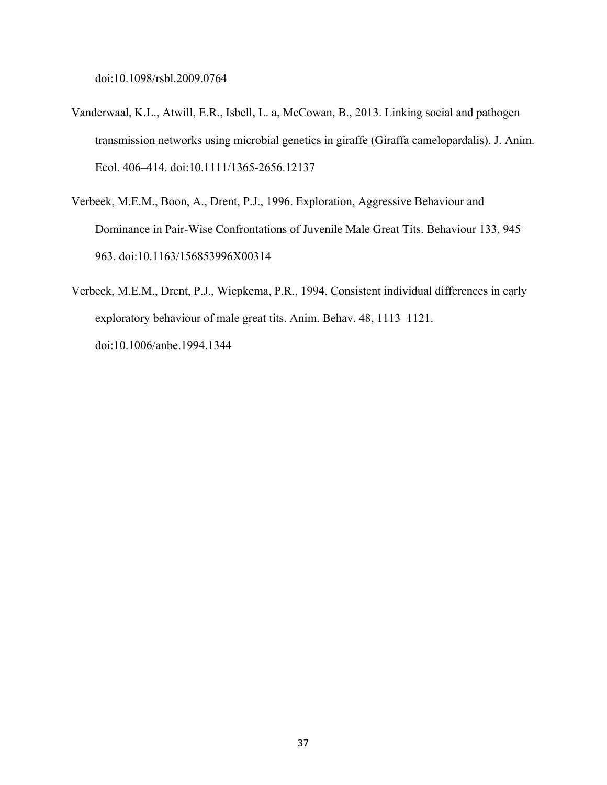doi:10.1098/rsbl.2009.0764

- Vanderwaal, K.L., Atwill, E.R., Isbell, L. a, McCowan, B., 2013. Linking social and pathogen transmission networks using microbial genetics in giraffe (Giraffa camelopardalis). J. Anim. Ecol. 406–414. doi:10.1111/1365-2656.12137
- Verbeek, M.E.M., Boon, A., Drent, P.J., 1996. Exploration, Aggressive Behaviour and Dominance in Pair-Wise Confrontations of Juvenile Male Great Tits. Behaviour 133, 945– 963. doi:10.1163/156853996X00314
- Verbeek, M.E.M., Drent, P.J., Wiepkema, P.R., 1994. Consistent individual differences in early exploratory behaviour of male great tits. Anim. Behav. 48, 1113–1121. doi:10.1006/anbe.1994.1344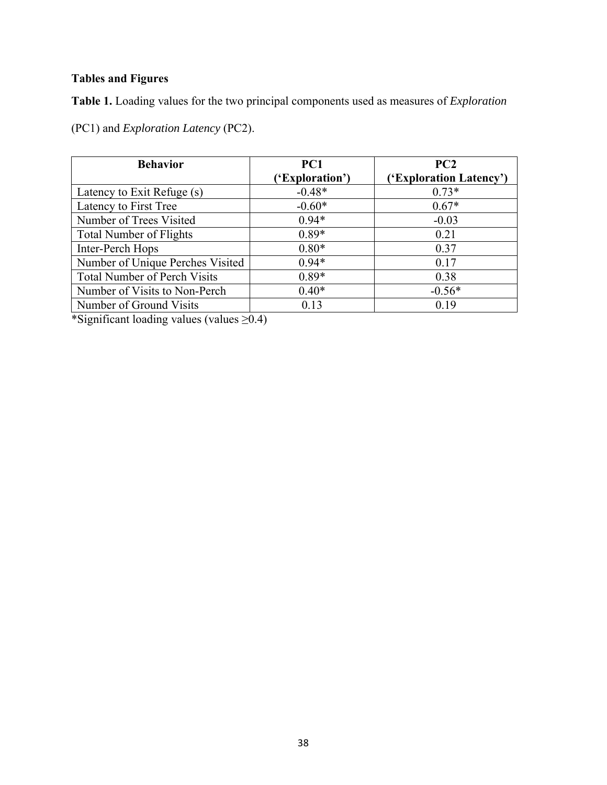# **Tables and Figures**

**Table 1.** Loading values for the two principal components used as measures of *Exploration*

(PC1) and *Exploration Latency* (PC2).

| <b>Behavior</b>                     | PC1             | PC <sub>2</sub>         |
|-------------------------------------|-----------------|-------------------------|
|                                     | ('Exploration') | ('Exploration Latency') |
| Latency to Exit Refuge (s)          | $-0.48*$        | $0.73*$                 |
| Latency to First Tree               | $-0.60*$        | $0.67*$                 |
| Number of Trees Visited             | $0.94*$         | $-0.03$                 |
| <b>Total Number of Flights</b>      | $0.89*$         | 0.21                    |
| Inter-Perch Hops                    | $0.80*$         | 0.37                    |
| Number of Unique Perches Visited    | $0.94*$         | 0.17                    |
| <b>Total Number of Perch Visits</b> | $0.89*$         | 0.38                    |
| Number of Visits to Non-Perch       | $0.40*$         | $-0.56*$                |
| Number of Ground Visits             | 0.13            | 0.19                    |

\*Significant loading values (values ≥0.4)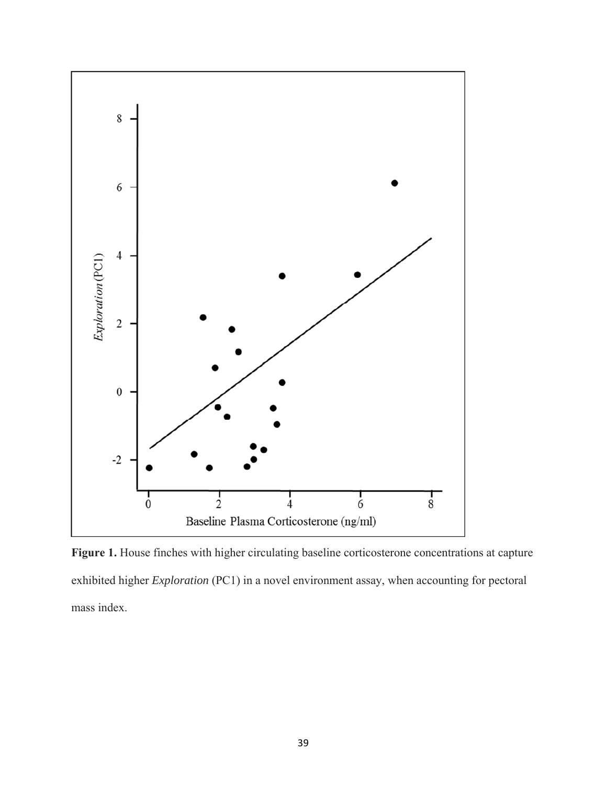

Figure 1. House finches with higher circulating baseline corticosterone concentrations at capture exhibited higher *Exploration* (PC1) in a novel environment assay, when accounting for pectoral mass index.